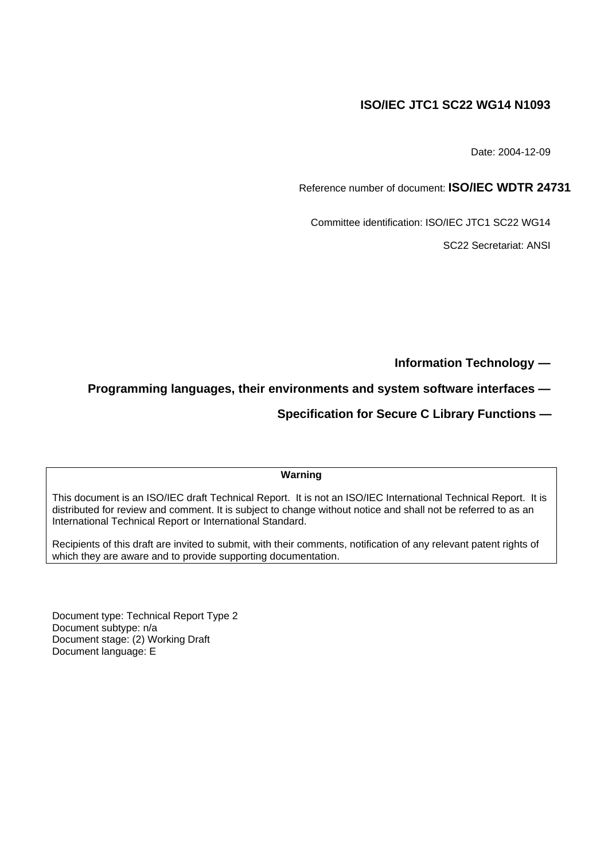# **ISO/IEC JTC1 SC22 WG14 N1093**

Date: 2004-12-09

Reference number of document: **ISO/IEC WDTR 24731**

Committee identification: ISO/IEC JTC1 SC22 WG14

SC22 Secretariat: ANSI

**Information Technology —**

**Programming languages, their environments and system software interfaces —**

 **Specification for Secure C Library Functions —**

## **Warning**

This document is an ISO/IEC draft Technical Report. It is not an ISO/IEC International Technical Report. It is distributed for review and comment. It is subject to change without notice and shall not be referred to as an International Technical Report or International Standard.

Recipients of this draft are invited to submit, with their comments, notification of any relevant patent rights of which they are aware and to provide supporting documentation.

Document type: Technical Report Type 2 Document subtype: n/a Document stage: (2) Working Draft Document language: E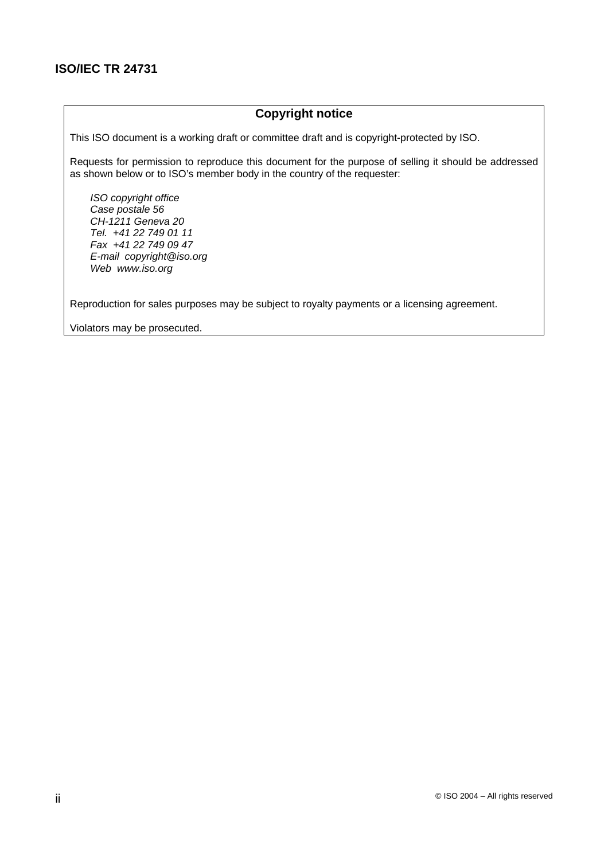# **ISO/IEC TR 24731**

## **Copyright notice**

This ISO document is a working draft or committee draft and is copyright-protected by ISO.

Requests for permission to reproduce this document for the purpose of selling it should be addressed as shown below or to ISO's member body in the country of the requester:

ISO copyright office Case postale 56 CH-1211 Geneva 20 Tel. +41 22 749 01 11 Fax +41 22 749 09 47 E-mail copyright@iso.org Web www.iso.org

Reproduction for sales purposes may be subject to royalty payments or a licensing agreement.

Violators may be prosecuted.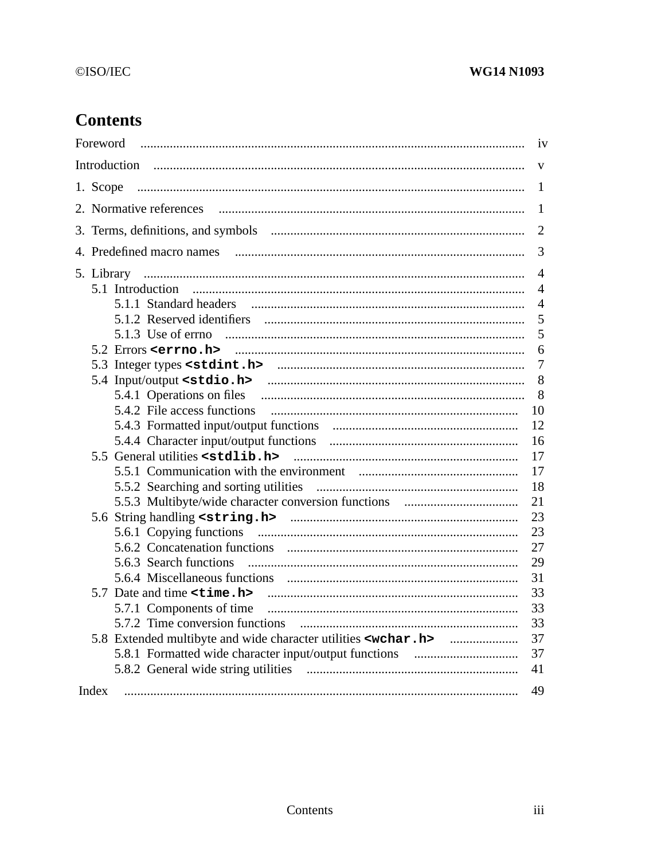# ©ISO/IEC

# **WG14 N1093**

# **Contents**

|       | iv             |
|-------|----------------|
|       | V              |
|       | $\mathbf{1}$   |
|       | 1              |
|       | $\overline{2}$ |
|       | 3              |
|       | $\overline{4}$ |
|       | $\overline{4}$ |
|       | $\overline{4}$ |
|       | 5              |
|       | 5              |
|       | 6              |
|       | $\overline{7}$ |
|       | 8              |
|       | 8              |
|       | 10             |
|       | 12             |
|       | 16             |
|       | 17             |
|       | 17             |
|       | 18             |
|       |                |
|       | 21             |
|       | 23             |
|       | 23             |
|       | 27             |
|       | 29             |
|       | 31             |
|       | 33             |
|       | 33             |
|       | 33             |
|       | 37             |
|       | 37             |
|       | 41             |
| Index | 49             |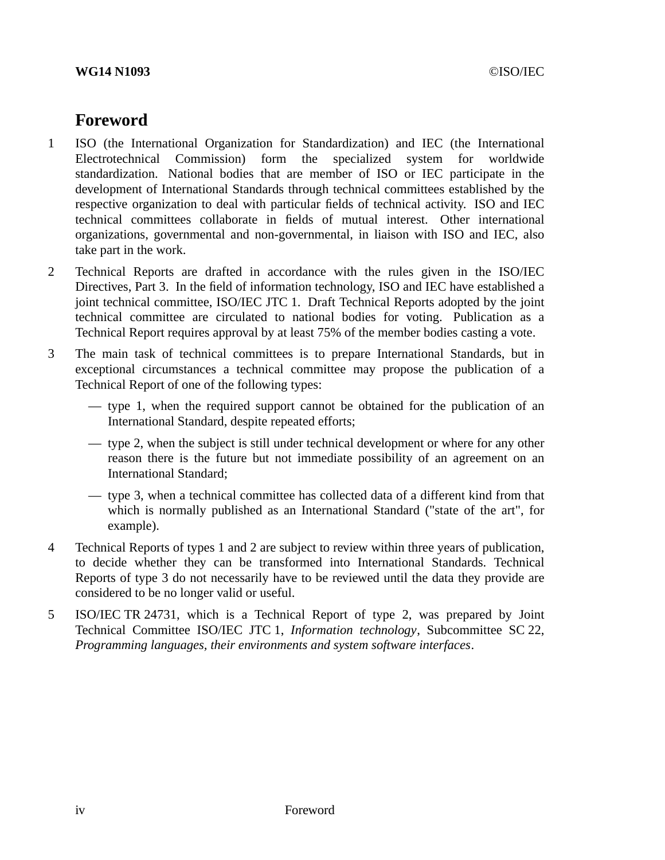# **Foreword**

- 1 ISO (the International Organization for Standardization) and IEC (the International Electrotechnical Commission) form the specialized system for worldwide standardization. National bodies that are member of ISO or IEC participate in the development of International Standards through technical committees established by the respective organization to deal with particular fields of technical activity. ISO and IEC technical committees collaborate in fields of mutual interest. Other international organizations, governmental and non-governmental, in liaison with ISO and IEC, also take part in the work.
- 2 Technical Reports are drafted in accordance with the rules given in the ISO/IEC Directives, Part 3. In the field of information technology, ISO and IEC have established a joint technical committee, ISO/IEC JTC 1. Draft Technical Reports adopted by the joint technical committee are circulated to national bodies for voting. Publication as a Technical Report requires approval by at least 75% of the member bodies casting a vote.
- 3 The main task of technical committees is to prepare International Standards, but in exceptional circumstances a technical committee may propose the publication of a Technical Report of one of the following types:
	- type 1, when the required support cannot be obtained for the publication of an International Standard, despite repeated efforts;
	- type 2, when the subject is still under technical development or where for any other reason there is the future but not immediate possibility of an agreement on an International Standard;
	- type 3, when a technical committee has collected data of a different kind from that which is normally published as an International Standard ("state of the art", for example).
- 4 Technical Reports of types 1 and 2 are subject to review within three years of publication, to decide whether they can be transformed into International Standards. Technical Reports of type 3 do not necessarily have to be reviewed until the data they provide are considered to be no longer valid or useful.
- 5 ISO/IEC TR 24731, which is a Technical Report of type 2, was prepared by Joint Technical Committee ISO/IEC JTC 1, *Information technology*, Subcommittee SC 22, *Programming languages, their environments and system software interfaces*.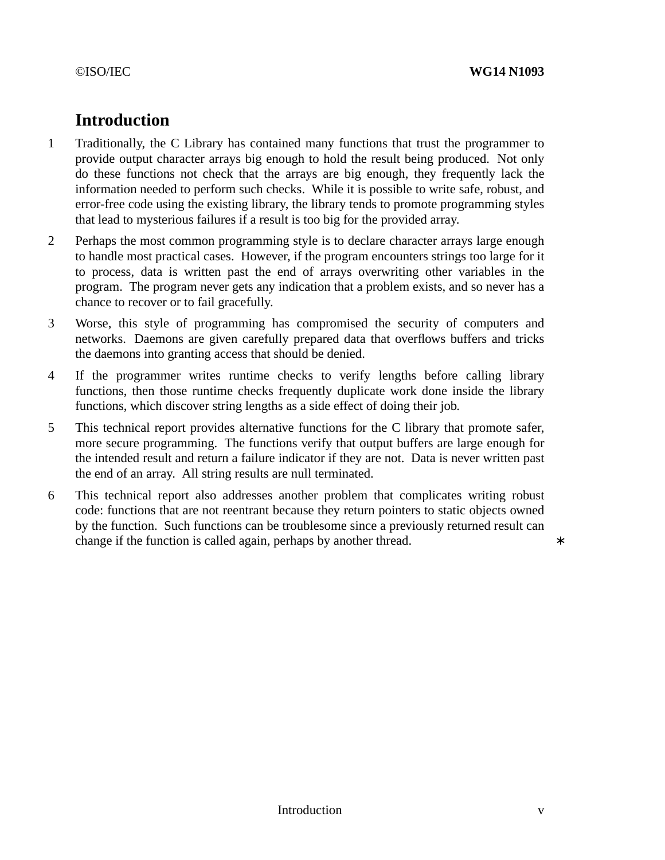# **Introduction**

- 1 Traditionally, the C Library has contained many functions that trust the programmer to provide output character arrays big enough to hold the result being produced. Not only do these functions not check that the arrays are big enough, they frequently lack the information needed to perform such checks. While it is possible to write safe, robust, and error-free code using the existing library, the library tends to promote programming styles that lead to mysterious failures if a result is too big for the provided array.
- 2 Perhaps the most common programming style is to declare character arrays large enough to handle most practical cases. However, if the program encounters strings too large for it to process, data is written past the end of arrays overwriting other variables in the program. The program never gets any indication that a problem exists, and so never has a chance to recover or to fail gracefully.
- 3 Worse, this style of programming has compromised the security of computers and networks. Daemons are given carefully prepared data that overflows buffers and tricks the daemons into granting access that should be denied.
- 4 If the programmer writes runtime checks to verify lengths before calling library functions, then those runtime checks frequently duplicate work done inside the library functions, which discover string lengths as a side effect of doing their job.
- 5 This technical report provides alternative functions for the C library that promote safer, more secure programming. The functions verify that output buffers are large enough for the intended result and return a failure indicator if they are not. Data is never written past the end of an array. All string results are null terminated.
- 6 This technical report also addresses another problem that complicates writing robust code: functions that are not reentrant because they return pointers to static objects owned by the function. Such functions can be troublesome since a previously returned result can change if the function is called again, perhaps by another thread. ∗ \*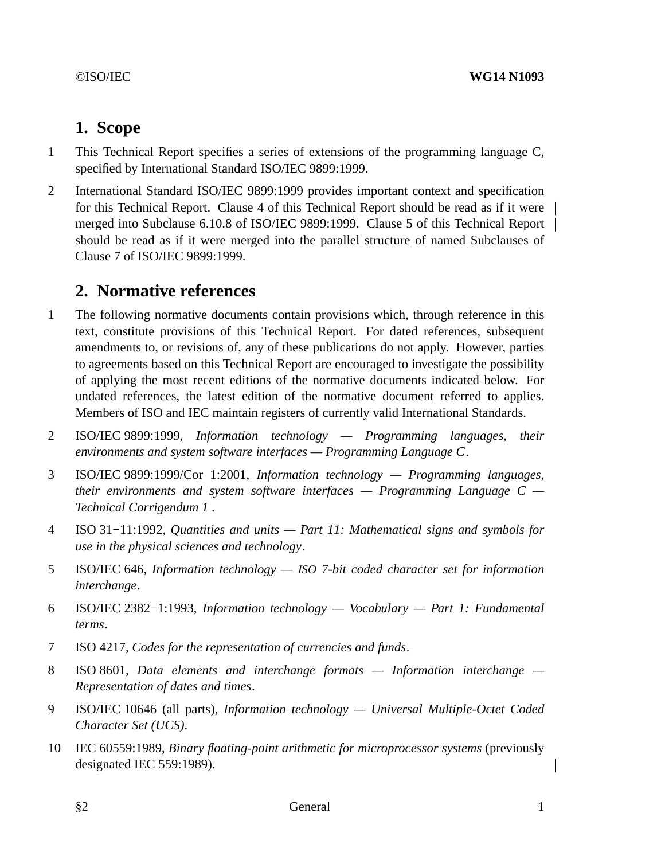# **1. Scope**

- 1 This Technical Report specifies a series of extensions of the programming language C, specified by International Standard ISO/IEC 9899:1999.
- 2 International Standard ISO/IEC 9899:1999 provides important context and specification for this Technical Report. Clause 4 of this Technical Report should be read as if it were merged into Subclause 6.10.8 of ISO/IEC 9899:1999. Clause 5 of this Technical Report should be read as if it were merged into the parallel structure of named Subclauses of Clause 7 of ISO/IEC 9899:1999.

# **2. Normative references**

- 1 The following normative documents contain provisions which, through reference in this text, constitute provisions of this Technical Report. For dated references, subsequent amendments to, or revisions of, any of these publications do not apply. However, parties to agreements based on this Technical Report are encouraged to investigate the possibility of applying the most recent editions of the normative documents indicated below. For undated references, the latest edition of the normative document referred to applies. Members of ISO and IEC maintain registers of currently valid International Standards.
- 2 ISO/IEC 9899:1999, *Information technology Programming languages, their environments and system software interfaces — Programming Language C*.
- 3 ISO/IEC 9899:1999/Cor 1:2001, *Information technology Programming languages, their environments and system software interfaces — Programming Language C — Technical Corrigendum 1* .
- 4 ISO 31−11:1992, *Quantities and units Part 11: Mathematical signs and symbols for use in the physical sciences and technology*.
- 5 ISO/IEC 646, *Information technology — ISO 7-bit coded character set for information interchange*.
- 6 ISO/IEC 2382−1:1993, *Information technology Vocabulary Part 1: Fundamental terms*.
- 7 ISO 4217, *Codes for the representation of currencies and funds*.
- 8 ISO 8601, *Data elements and interchange formats Information interchange — Representation of dates and times*.
- 9 ISO/IEC 10646 (all parts), *Information technology Universal Multiple-Octet Coded Character Set (UCS)*.
- 10 IEC 60559:1989, *Binary floating-point arithmetic for microprocessor systems* (previously designated IEC 559:1989).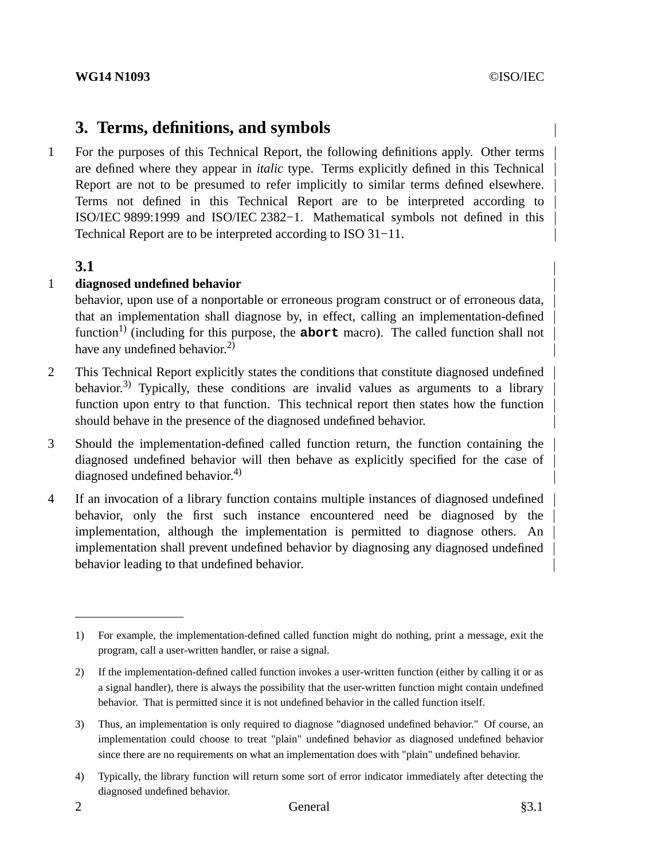# **3. Terms, definitions, and symbols**

1 For the purposes of this Technical Report, the following definitions apply. Other terms are defined where they appear in *italic* type. Terms explicitly defined in this Technical Report are not to be presumed to refer implicitly to similar terms defined elsewhere. Terms not defined in this Technical Report are to be interpreted according to ISO/IEC 9899:1999 and ISO/IEC 2382−1. Mathematical symbols not defined in this Technical Report are to be interpreted according to ISO 31−11.

# **3.1**

# 1 **diagnosed undefined behavior**

behavior, upon use of a nonportable or erroneous program construct or of erroneous data, that an implementation shall diagnose by, in effect, calling an implementation-defined function<sup>1)</sup> (including for this purpose, the **abort** macro). The called function shall not have any undefined behavior.<sup>2)</sup>

- 2 This Technical Report explicitly states the conditions that constitute diagnosed undefined behavior.<sup>3)</sup> Typically, these conditions are invalid values as arguments to a library function upon entry to that function. This technical report then states how the function should behave in the presence of the diagnosed undefined behavior.
- 3 Should the implementation-defined called function return, the function containing the diagnosed undefined behavior will then behave as explicitly specified for the case of diagnosed undefined behavior.<sup>4)</sup>
- 4 If an invocation of a library function contains multiple instances of diagnosed undefined behavior, only the first such instance encountered need be diagnosed by the implementation, although the implementation is permitted to diagnose others. An implementation shall prevent undefined behavior by diagnosing any diagnosed undefined behavior leading to that undefined behavior.

<sup>1)</sup> For example, the implementation-defined called function might do nothing, print a message, exit the program, call a user-written handler, or raise a signal.

<sup>2)</sup> If the implementation-defined called function invokes a user-written function (either by calling it or as a signal handler), there is always the possibility that the user-written function might contain undefined behavior. That is permitted since it is not undefined behavior in the called function itself.

<sup>3)</sup> Thus, an implementation is only required to diagnose "diagnosed undefined behavior." Of course, an implementation could choose to treat "plain" undefined behavior as diagnosed undefined behavior since there are no requirements on what an implementation does with "plain" undefined behavior.

<sup>4)</sup> Typically, the library function will return some sort of error indicator immediately after detecting the diagnosed undefined behavior.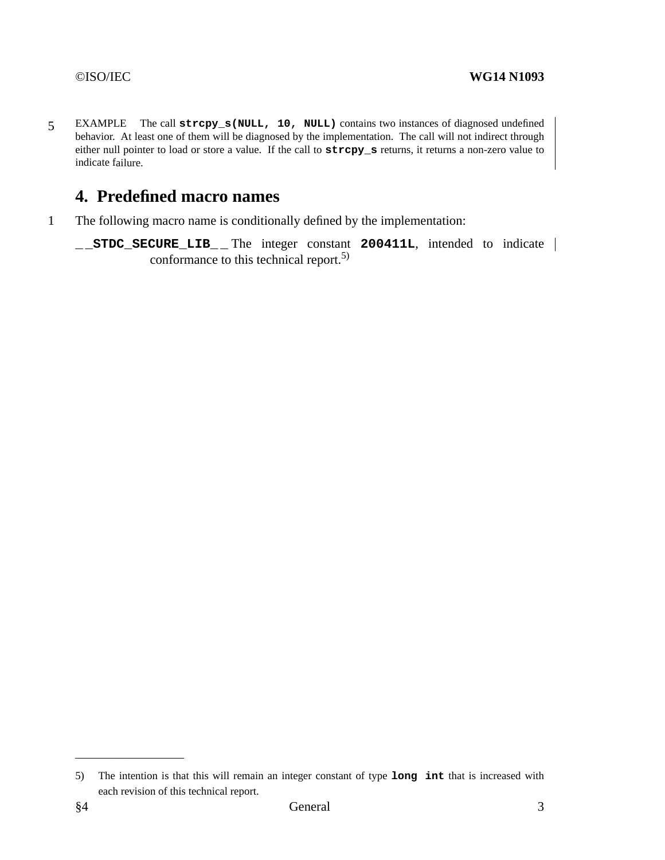5 EXAMPLE The call **strcpy\_s(NULL, 10, NULL)** contains two instances of diagnosed undefined behavior. At least one of them will be diagnosed by the implementation. The call will not indirect through either null pointer to load or store a value. If the call to **strcpy\_s** returns, it returns a non-zero value to indicate failure.

# **4. Predefined macro names**

- 1 The following macro name is conditionally defined by the implementation:
	- **\_ \_STDC\_SECURE\_LIB\_ \_** The integer constant **200411L**, intended to indicate conformance to this technical report.5)

<sup>5)</sup> The intention is that this will remain an integer constant of type **long int** that is increased with each revision of this technical report.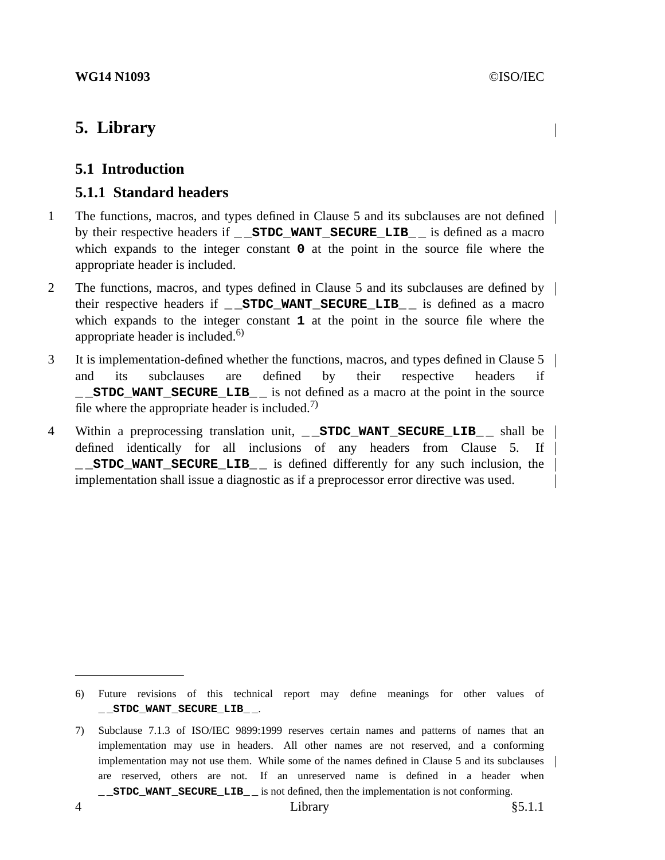# **5. Library**

# **5.1 Introduction**

# **5.1.1 Standard headers**

- 1 The functions, macros, and types defined in Clause 5 and its subclauses are not defined by their respective headers if **\_ \_STDC\_WANT\_SECURE\_LIB\_ \_** is defined as a macro which expands to the integer constant **0** at the point in the source file where the appropriate header is included.
- 2 The functions, macros, and types defined in Clause 5 and its subclauses are defined by their respective headers if **\_ \_STDC\_WANT\_SECURE\_LIB\_ \_** is defined as a macro which expands to the integer constant **1** at the point in the source file where the appropriate header is included.<sup>6)</sup>
- 3 It is implementation-defined whether the functions, macros, and types defined in Clause 5 and its subclauses are defined by their respective headers if **\_ \_STDC\_WANT\_SECURE\_LIB\_ \_** is not defined as a macro at the point in the source file where the appropriate header is included.<sup>7)</sup>
- 4 Within a preprocessing translation unit, **STDC WANT SECURE LIB** shall be defined identically for all inclusions of any headers from Clause 5. If **\_ \_STDC\_WANT\_SECURE\_LIB\_ \_** is defined differently for any such inclusion, the implementation shall issue a diagnostic as if a preprocessor error directive was used.

<sup>6)</sup> Future revisions of this technical report may define meanings for other values of **\_ \_STDC\_WANT\_SECURE\_LIB\_ \_**.

<sup>7)</sup> Subclause 7.1.3 of ISO/IEC 9899:1999 reserves certain names and patterns of names that an implementation may use in headers. All other names are not reserved, and a conforming implementation may not use them. While some of the names defined in Clause 5 and its subclauses | are reserved, others are not. If an unreserved name is defined in a header when **\_ \_STDC\_WANT\_SECURE\_LIB\_ \_** is not defined, then the implementation is not conforming.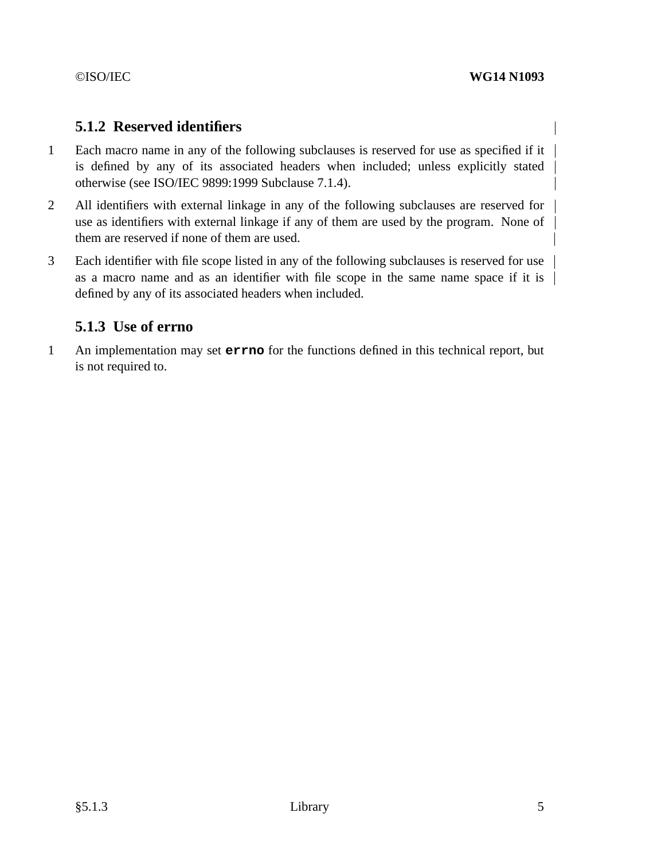# **5.1.2 Reserved identifiers**

- 1 Each macro name in any of the following subclauses is reserved for use as specified if it is defined by any of its associated headers when included; unless explicitly stated otherwise (see ISO/IEC 9899:1999 Subclause 7.1.4).
- 2 All identifiers with external linkage in any of the following subclauses are reserved for use as identifiers with external linkage if any of them are used by the program. None of them are reserved if none of them are used.
- 3 Each identifier with file scope listed in any of the following subclauses is reserved for use as a macro name and as an identifier with file scope in the same name space if it is defined by any of its associated headers when included.

# **5.1.3 Use of errno**

1 An implementation may set **errno** for the functions defined in this technical report, but is not required to.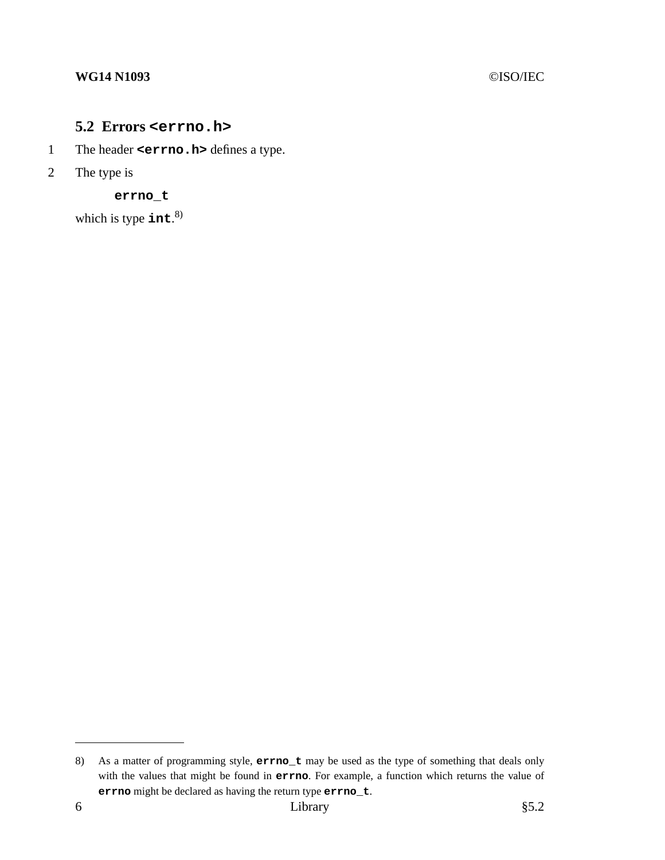## **WG14 N1093** ©ISO/IEC

# **5.2 Errors <errno.h>**

- 1 The header **<errno.h>** defines a type.
- 2 The type is

**errno\_t**

which is type **int**. 8)

<sup>8)</sup> As a matter of programming style, **errno\_t** may be used as the type of something that deals only with the values that might be found in **errno**. For example, a function which returns the value of **errno** might be declared as having the return type **errno\_t**.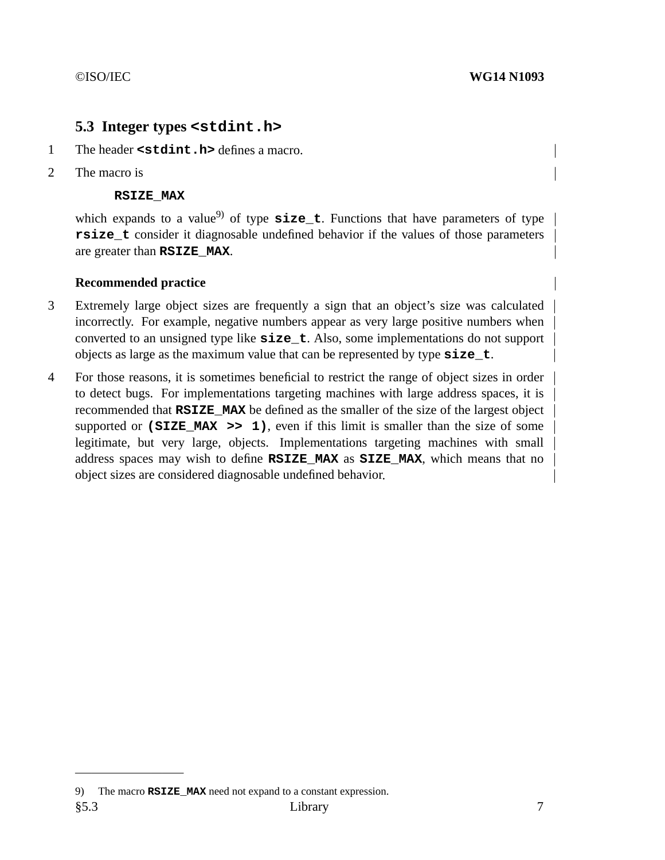# **5.3 Integer types <stdint.h>**

- 1 The header **<stdint.h>** defines a macro.
- 2 The macro is

## **RSIZE\_MAX**

which expands to a value<sup>9)</sup> of type  $size_t$ . Functions that have parameters of type **rsize\_t** consider it diagnosable undefined behavior if the values of those parameters are greater than **RSIZE\_MAX**.

## **Recommended practice**

- 3 Extremely large object sizes are frequently a sign that an object's size was calculated incorrectly. For example, negative numbers appear as very large positive numbers when converted to an unsigned type like **size\_t**. Also, some implementations do not support objects as large as the maximum value that can be represented by type **size\_t**.
- 4 For those reasons, it is sometimes beneficial to restrict the range of object sizes in order to detect bugs. For implementations targeting machines with large address spaces, it is recommended that **RSIZE\_MAX** be defined as the smaller of the size of the largest object supported or  $(SIZE$  MAX  $\gg$  1), even if this limit is smaller than the size of some legitimate, but very large, objects. Implementations targeting machines with small address spaces may wish to define **RSIZE\_MAX** as **SIZE\_MAX**, which means that no object sizes are considered diagnosable undefined behavior.

<sup>9)</sup> The macro **RSIZE** MAX need not expand to a constant expression.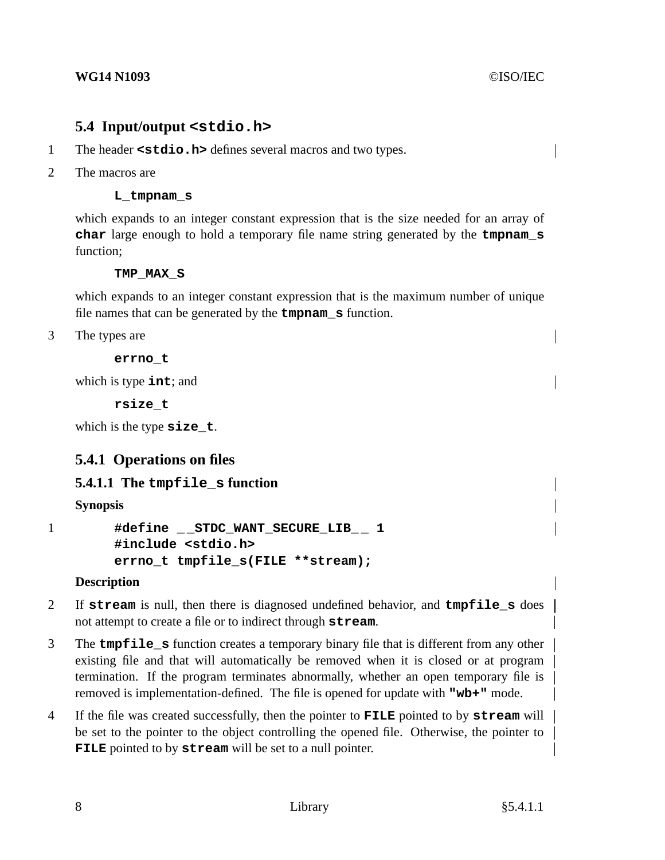# **5.4 Input/output <stdio.h>**

- 1 The header **<stdio.h>** defines several macros and two types.
- 2 The macros are

## **L\_tmpnam\_s**

which expands to an integer constant expression that is the size needed for an array of **char** large enough to hold a temporary file name string generated by the **tmpnam\_s** function;

## **TMP\_MAX\_S**

which expands to an integer constant expression that is the maximum number of unique file names that can be generated by the **tmpnam\_s** function.

3 The types are

**errno\_t**

which is type **int**; and

**rsize\_t**

which is the type **size\_t**.

# **5.4.1 Operations on files**

# **5.4.1.1 The tmpfile\_s function**

**Synopsis**

```
1 #define _ _STDC_WANT_SECURE_LIB_ _ 1
        #include <stdio.h>
        errno_t tmpfile_s(FILE **stream);
```
# **Description**

- 2 If **stream** is null, then there is diagnosed undefined behavior, and **tmpfile\_s** does not attempt to create a file or to indirect through **stream**.
- 3 The **tmpfile\_s** function creates a temporary binary file that is different from any other existing file and that will automatically be removed when it is closed or at program termination. If the program terminates abnormally, whether an open temporary file is removed is implementation-defined. The file is opened for update with **"wb+"** mode.
- 4 If the file was created successfully, then the pointer to **FILE** pointed to by **stream** will be set to the pointer to the object controlling the opened file. Otherwise, the pointer to **FILE** pointed to by **stream** will be set to a null pointer.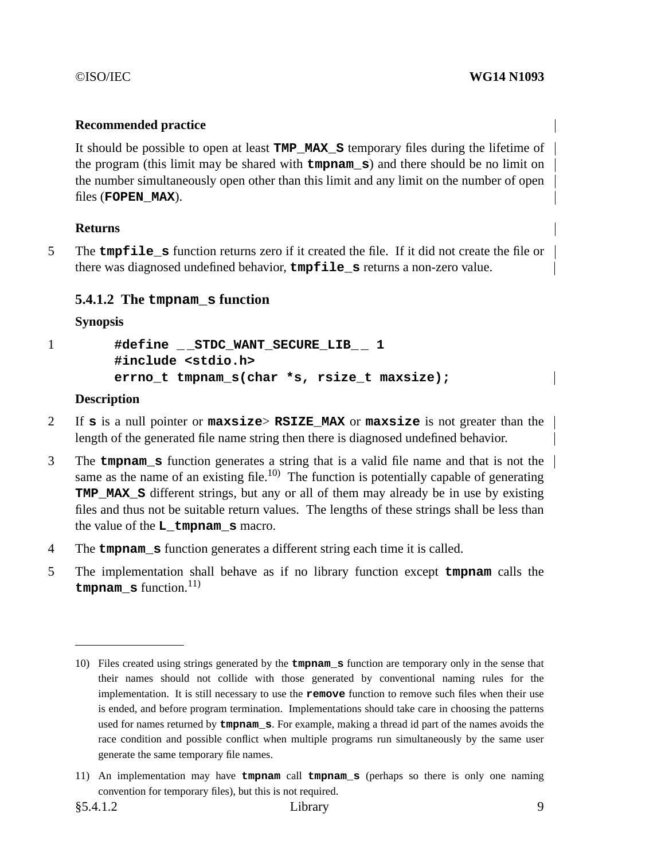## **Recommended practice**

It should be possible to open at least **TMP\_MAX\_S** temporary files during the lifetime of the program (this limit may be shared with **tmpnam\_s**) and there should be no limit on the number simultaneously open other than this limit and any limit on the number of open files (**FOPEN\_MAX**).

## **Returns**

5 The **tmpfile\_s** function returns zero if it created the file. If it did not create the file or there was diagnosed undefined behavior, **tmpfile\_s** returns a non-zero value.

# **5.4.1.2 The tmpnam\_s function**

**Synopsis**

1 **#define \_ \_STDC\_WANT\_SECURE\_LIB\_ \_ 1 #include <stdio.h> errno\_t tmpnam\_s(char \*s, rsize\_t maxsize);**

## **Description**

- 2 If **s** is a null pointer or **maxsize**> **RSIZE\_MAX** or **maxsize** is not greater than the length of the generated file name string then there is diagnosed undefined behavior.
- 3 The **tmpnam\_s** function generates a string that is a valid file name and that is not the same as the name of an existing file.<sup>10)</sup> The function is potentially capable of generating **TMP MAX S** different strings, but any or all of them may already be in use by existing files and thus not be suitable return values. The lengths of these strings shall be less than the value of the **L\_tmpnam\_s** macro.
- 4 The **tmpnam\_s** function generates a different string each time it is called.
- 5 The implementation shall behave as if no library function except **tmpnam** calls the **tmpnam**  $\boldsymbol{s}$  function.<sup>11)</sup>

<sup>10)</sup> Files created using strings generated by the **tmpnam\_s** function are temporary only in the sense that their names should not collide with those generated by conventional naming rules for the implementation. It is still necessary to use the **remove** function to remove such files when their use is ended, and before program termination. Implementations should take care in choosing the patterns used for names returned by **tmpnam\_s**. For example, making a thread id part of the names avoids the race condition and possible conflict when multiple programs run simultaneously by the same user generate the same temporary file names.

<sup>11)</sup> An implementation may have **tmpnam** call **tmpnam\_s** (perhaps so there is only one naming convention for temporary files), but this is not required.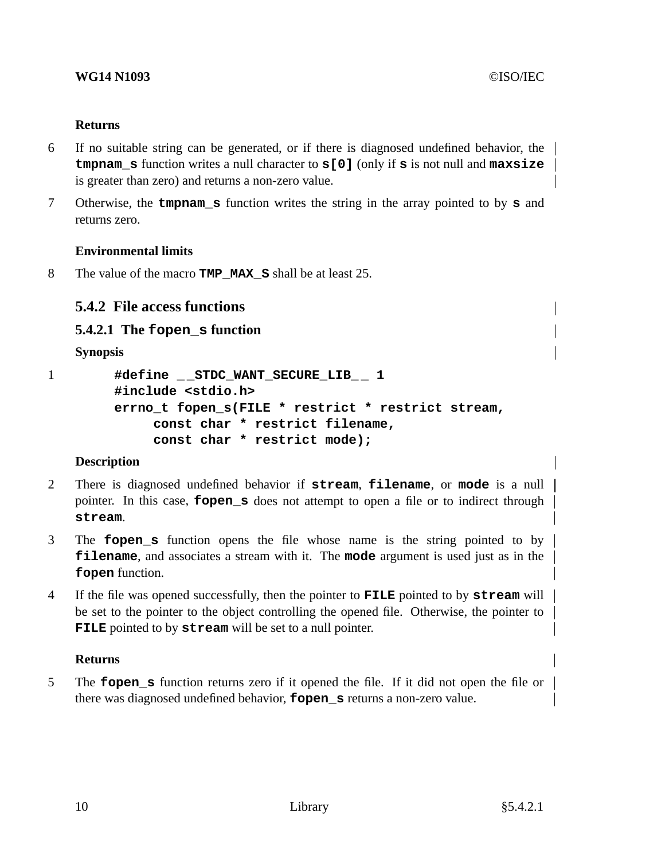## **Returns**

- 6 If no suitable string can be generated, or if there is diagnosed undefined behavior, the **tmpnam\_s** function writes a null character to **s[0]** (only if **s** is not null and **maxsize** is greater than zero) and returns a non-zero value.
- 7 Otherwise, the **tmpnam\_s** function writes the string in the array pointed to by **s** and returns zero.

# **Environmental limits**

8 The value of the macro **TMP\_MAX\_S** shall be at least 25.

# **5.4.2 File access functions**

# **5.4.2.1 The fopen\_s function**

**Synopsis**

```
1 #define _ _STDC_WANT_SECURE_LIB_ _ 1
        #include <stdio.h>
        errno_t fopen_s(FILE * restrict * restrict stream,
             const char * restrict filename,
             const char * restrict mode);
```
# **Description**

- 2 There is diagnosed undefined behavior if **stream**, **filename**, or **mode** is a null pointer. In this case, **fopen\_s** does not attempt to open a file or to indirect through **stream**.
- 3 The **fopen\_s** function opens the file whose name is the string pointed to by **filename**, and associates a stream with it. The **mode** argument is used just as in the **fopen** function.
- 4 If the file was opened successfully, then the pointer to **FILE** pointed to by **stream** will be set to the pointer to the object controlling the opened file. Otherwise, the pointer to **FILE** pointed to by **stream** will be set to a null pointer.

# **Returns**

5 The **fopen\_s** function returns zero if it opened the file. If it did not open the file or there was diagnosed undefined behavior, **fopen\_s** returns a non-zero value.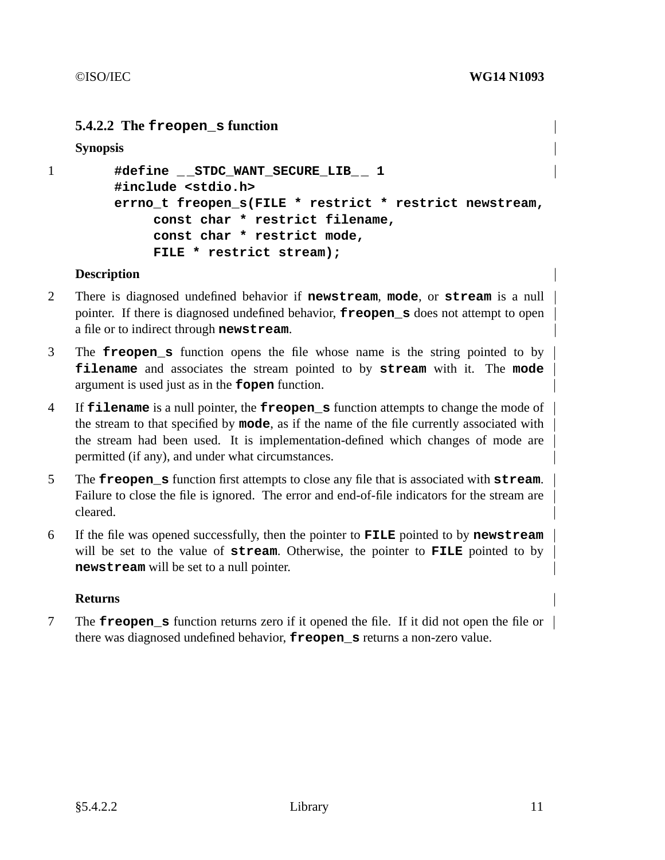# **5.4.2.2 The freopen\_s function**

**Synopsis**

```
1 #define _ _STDC_WANT_SECURE_LIB_ _ 1
        #include <stdio.h>
        errno_t freopen_s(FILE * restrict * restrict newstream,
             const char * restrict filename,
             const char * restrict mode,
             FILE * restrict stream);
```
## **Description**

- 2 There is diagnosed undefined behavior if **newstream**, **mode**, or **stream** is a null pointer. If there is diagnosed undefined behavior, **freopen\_s** does not attempt to open a file or to indirect through **newstream**.
- 3 The **freopen\_s** function opens the file whose name is the string pointed to by **filename** and associates the stream pointed to by **stream** with it. The **mode** argument is used just as in the **fopen** function.
- 4 If **filename** is a null pointer, the **freopen\_s** function attempts to change the mode of the stream to that specified by **mode**, as if the name of the file currently associated with the stream had been used. It is implementation-defined which changes of mode are permitted (if any), and under what circumstances.
- 5 The **freopen\_s** function first attempts to close any file that is associated with **stream**. Failure to close the file is ignored. The error and end-of-file indicators for the stream are cleared.
- 6 If the file was opened successfully, then the pointer to **FILE** pointed to by **newstream** will be set to the value of **stream**. Otherwise, the pointer to **FILE** pointed to by **newstream** will be set to a null pointer.

## **Returns**

7 The **freopen\_s** function returns zero if it opened the file. If it did not open the file or there was diagnosed undefined behavior, **freopen\_s** returns a non-zero value.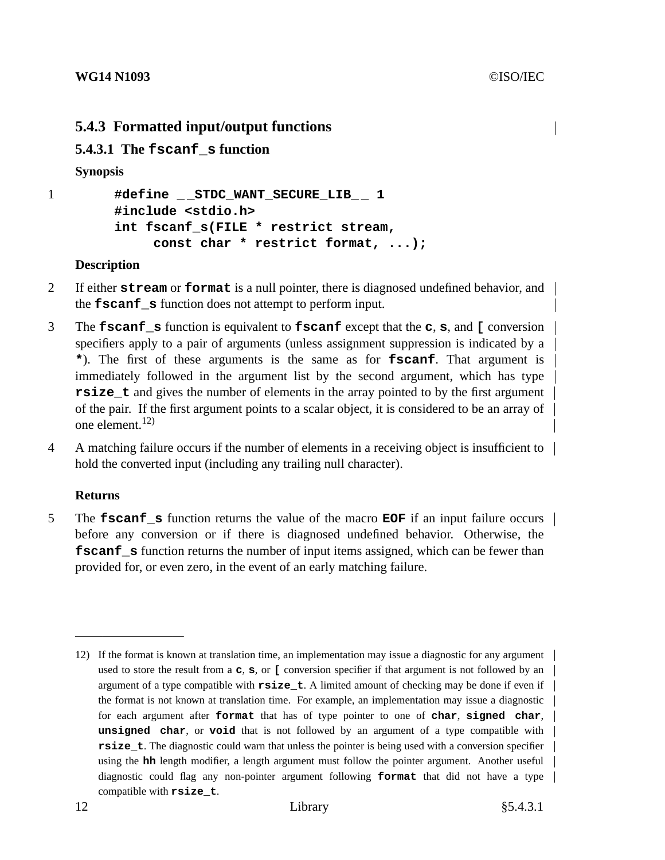# **5.4.3 Formatted input/output functions**

# **5.4.3.1 The fscanf\_s function**

## **Synopsis**

```
1 #define _ _STDC_WANT_SECURE_LIB_ _ 1
        #include <stdio.h>
        int fscanf_s(FILE * restrict stream,
             const char * restrict format, ...);
```
## **Description**

- 2 If either **stream** or **format** is a null pointer, there is diagnosed undefined behavior, and the **fscanf\_s** function does not attempt to perform input.
- 3 The **fscanf\_s** function is equivalent to **fscanf** except that the **c**, **s**, and **[** conversion specifiers apply to a pair of arguments (unless assignment suppression is indicated by a **\***). The first of these arguments is the same as for **fscanf**. That argument is immediately followed in the argument list by the second argument, which has type **rsize** t and gives the number of elements in the array pointed to by the first argument of the pair. If the first argument points to a scalar object, it is considered to be an array of one element. $^{12)}$
- 4 A matching failure occurs if the number of elements in a receiving object is insufficient to hold the converted input (including any trailing null character).

## **Returns**

5 The **fscanf\_s** function returns the value of the macro **EOF** if an input failure occurs before any conversion or if there is diagnosed undefined behavior. Otherwise, the **fscanf\_s** function returns the number of input items assigned, which can be fewer than provided for, or even zero, in the event of an early matching failure.

<sup>12)</sup> If the format is known at translation time, an implementation may issue a diagnostic for any argument used to store the result from a **c**, **s**, or **[** conversion specifier if that argument is not followed by an  $\vert$ argument of a type compatible with  $\text{rsize}_t$ . A limited amount of checking may be done if even if the format is not known at translation time. For example, an implementation may issue a diagnostic for each argument after **format** that has of type pointer to one of **char**, **signed char**, **unsigned char**, or **void** that is not followed by an argument of a type compatible with **rsize\_t**. The diagnostic could warn that unless the pointer is being used with a conversion specifier | using the **hh** length modifier, a length argument must follow the pointer argument. Another useful diagnostic could flag any non-pointer argument following **format** that did not have a type compatible with **rsize\_t**.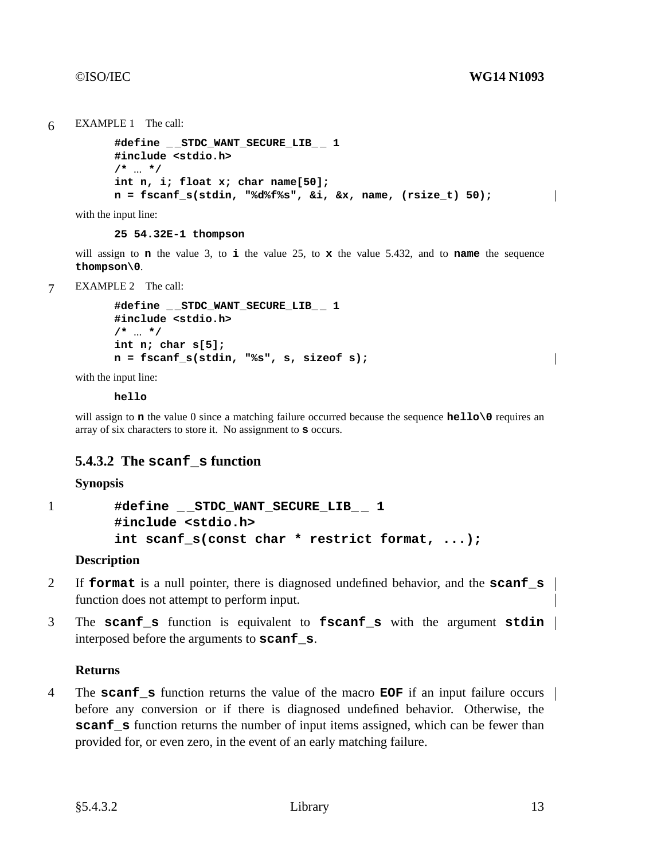$\overline{\phantom{a}}$ 

 $\overline{\phantom{a}}$ 

```
6 EXAMPLE 1 The call:
```

```
#define _ _STDC_WANT_SECURE_LIB_ _ 1
#include <stdio.h>
/* ... */
int n, i; float x; char name[50];
n=fscanf_s(stdin, "%d%f%s", &i, &x, name, (rsize_t) 50);
```
with the input line:

**25 54.32E-1 thompson**

will assign to **n** the value 3, to **i** the value 25, to **x** the value 5.432, and to **name** the sequence **thompson\0**.

7 EXAMPLE 2 The call:

```
#define _ _STDC_WANT_SECURE_LIB_ _ 1
#include <stdio.h>
/* ... */
int n; char s[5];
n=fscanf_s(stdin, "%s", s, sizeof s);
```
with the input line:

**hello**

will assign to **n** the value 0 since a matching failure occurred because the sequence **hello** o requires an array of six characters to store it. No assignment to **s** occurs.

# **5.4.3.2 The scanf\_s function**

## **Synopsis**

```
1 #define _ _STDC_WANT_SECURE_LIB_ _ 1
        #include <stdio.h>
        int scanf_s(const char * restrict format, ...);
```
## **Description**

- 2 If **format** is a null pointer, there is diagnosed undefined behavior, and the **scanf\_s** function does not attempt to perform input.
- 3 The **scanf\_s** function is equivalent to **fscanf\_s** with the argument **stdin** interposed before the arguments to **scanf\_s**.

## **Returns**

4 The **scanf\_s** function returns the value of the macro **EOF** if an input failure occurs before any conversion or if there is diagnosed undefined behavior. Otherwise, the **scanf\_s** function returns the number of input items assigned, which can be fewer than provided for, or even zero, in the event of an early matching failure.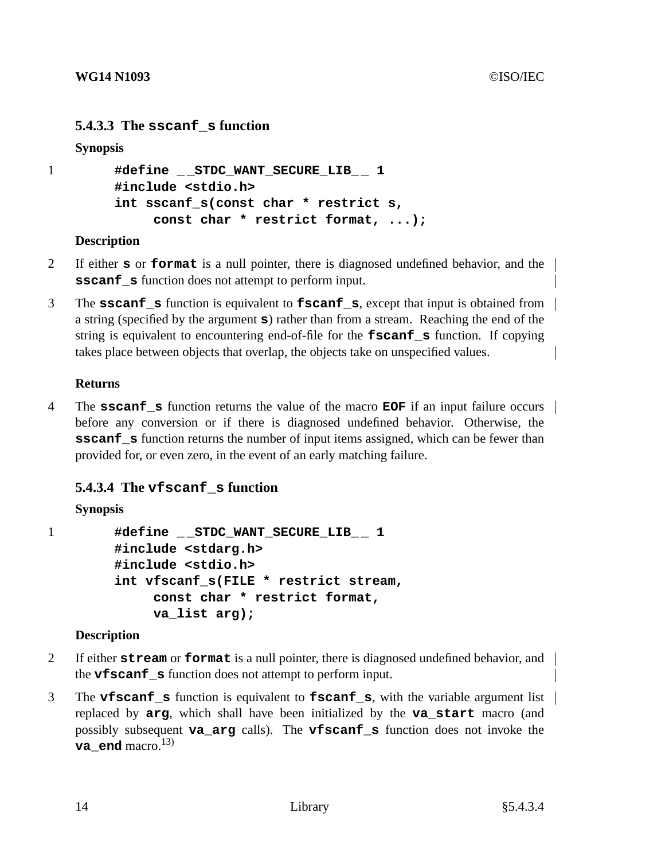# **5.4.3.3 The sscanf\_s function**

## **Synopsis**

```
1 #define _ _STDC_WANT_SECURE_LIB_ _ 1
        #include <stdio.h>
        int sscanf_s(const char * restrict s,
             const char * restrict format, ...);
```
## **Description**

- 2 If either **s** or **format** is a null pointer, there is diagnosed undefined behavior, and the **sscanf\_s** function does not attempt to perform input.
- 3 The **sscanf\_s** function is equivalent to **fscanf\_s**, except that input is obtained from a string (specified by the argument **s**) rather than from a stream. Reaching the end of the string is equivalent to encountering end-of-file for the **fscanf\_s** function. If copying takes place between objects that overlap, the objects take on unspecified values.

## **Returns**

4 The **sscanf\_s** function returns the value of the macro **EOF** if an input failure occurs before any conversion or if there is diagnosed undefined behavior. Otherwise, the **sscanf** s function returns the number of input items assigned, which can be fewer than provided for, or even zero, in the event of an early matching failure.

# **5.4.3.4 The vfscanf\_s function**

# **Synopsis**

1 **#define \_ \_STDC\_WANT\_SECURE\_LIB\_ \_ 1 #include <stdarg.h> #include <stdio.h> int vfscanf\_s(FILE \* restrict stream, const char \* restrict format, va\_list arg);**

# **Description**

- 2 If either **stream** or **format** is a null pointer, there is diagnosed undefined behavior, and the **vfscanf\_s** function does not attempt to perform input.
- 3 The **vfscanf\_s** function is equivalent to **fscanf\_s**, with the variable argument list replaced by **arg**, which shall have been initialized by the **va\_start** macro (and possibly subsequent **va\_arg** calls). The **vfscanf\_s** function does not invoke the **va** end macro.<sup>13)</sup>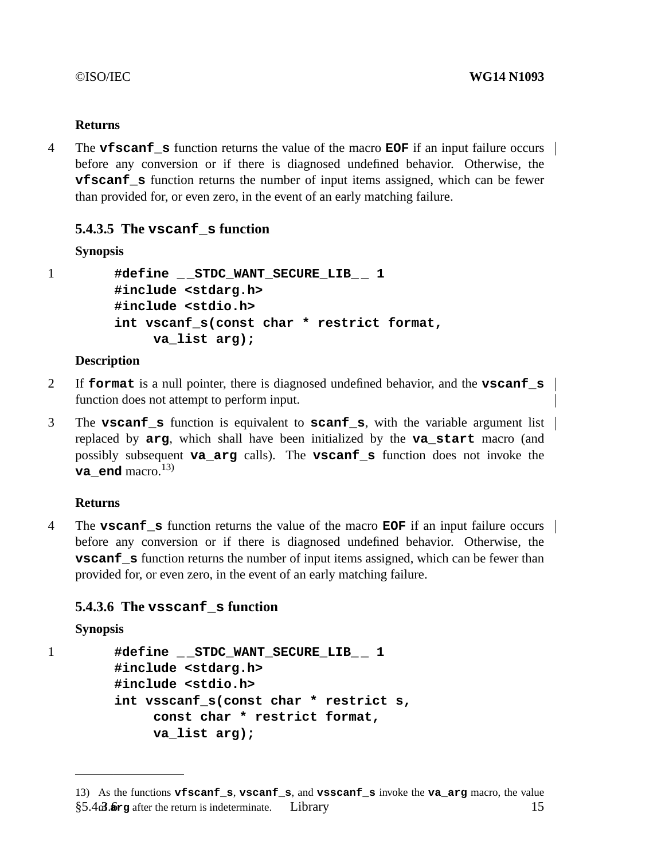## **Returns**

4 The **vfscanf\_s** function returns the value of the macro **EOF** if an input failure occurs before any conversion or if there is diagnosed undefined behavior. Otherwise, the **vfscanf\_s** function returns the number of input items assigned, which can be fewer than provided for, or even zero, in the event of an early matching failure.

# **5.4.3.5 The vscanf\_s function**

## **Synopsis**

```
1 #define _ _STDC_WANT_SECURE_LIB_ _ 1
        #include <stdarg.h>
        #include <stdio.h>
        int vscanf_s(const char * restrict format,
             va_list arg);
```
## **Description**

- 2 If **format** is a null pointer, there is diagnosed undefined behavior, and the **vscanf\_s** function does not attempt to perform input.
- 3 The **vscanf\_s** function is equivalent to **scanf\_s**, with the variable argument list replaced by **arg**, which shall have been initialized by the **va\_start** macro (and possibly subsequent **va\_arg** calls). The **vscanf\_s** function does not invoke the **va** end macro.<sup>13)</sup>

# **Returns**

4 The **vscanf\_s** function returns the value of the macro **EOF** if an input failure occurs before any conversion or if there is diagnosed undefined behavior. Otherwise, the **vscanf** s function returns the number of input items assigned, which can be fewer than provided for, or even zero, in the event of an early matching failure.

# **5.4.3.6 The vsscanf\_s function**

```
Synopsis
```

```
1 #define _ _STDC_WANT_SECURE_LIB_ _ 1
        #include <stdarg.h>
        #include <stdio.h>
        int vsscanf_s(const char * restrict s,
             const char * restrict format,
             va_list arg);
```
<sup>13)</sup> As the functions **vfscanf\_s**, **vscanf\_s**, and **vsscanf\_s** invoke the **va\_arg** macro, the value §5.4 $\alpha$ 3.6 Library **after the return is indeterminate.** Library 15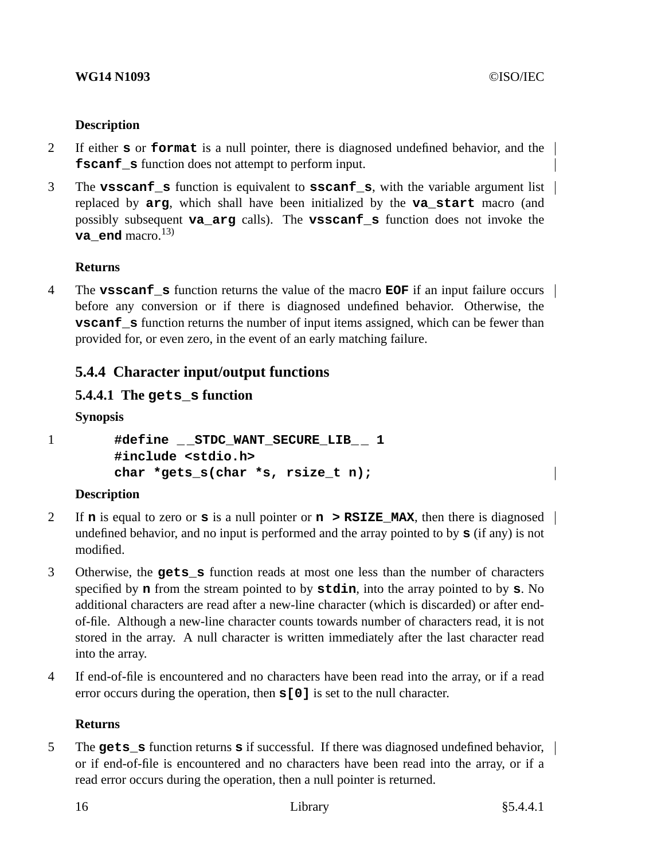## **WG14 N1093** ©ISO/IEC

## **Description**

- 2 If either **s** or **format** is a null pointer, there is diagnosed undefined behavior, and the **fscanf\_s** function does not attempt to perform input.
- 3 The **vsscanf\_s** function is equivalent to **sscanf\_s**, with the variable argument list replaced by **arg**, which shall have been initialized by the **va\_start** macro (and possibly subsequent **va\_arg** calls). The **vsscanf\_s** function does not invoke the **va** end macro.<sup>13)</sup>

## **Returns**

4 The **vsscanf\_s** function returns the value of the macro **EOF** if an input failure occurs before any conversion or if there is diagnosed undefined behavior. Otherwise, the **vscanf\_s** function returns the number of input items assigned, which can be fewer than provided for, or even zero, in the event of an early matching failure.

# **5.4.4 Character input/output functions**

# **5.4.4.1 The gets\_s function**

**Synopsis**

```
1 #define _ _STDC_WANT_SECURE_LIB_ _ 1
        #include <stdio.h>
        char *gets s(char *s, rsize t n);
```
## **Description**

- 2 If **n** is equal to zero or **s** is a null pointer or **n > RSIZE\_MAX**, then there is diagnosed undefined behavior, and no input is performed and the array pointed to by **s** (if any) is not modified.
- 3 Otherwise, the **gets\_s** function reads at most one less than the number of characters specified by **n** from the stream pointed to by **stdin**, into the array pointed to by **s**. No additional characters are read after a new-line character (which is discarded) or after endof-file. Although a new-line character counts towards number of characters read, it is not stored in the array. A null character is written immediately after the last character read into the array.
- 4 If end-of-file is encountered and no characters have been read into the array, or if a read error occurs during the operation, then **s[0]** is set to the null character.

## **Returns**

5 The **gets\_s** function returns **s** if successful. If there was diagnosed undefined behavior, or if end-of-file is encountered and no characters have been read into the array, or if a read error occurs during the operation, then a null pointer is returned.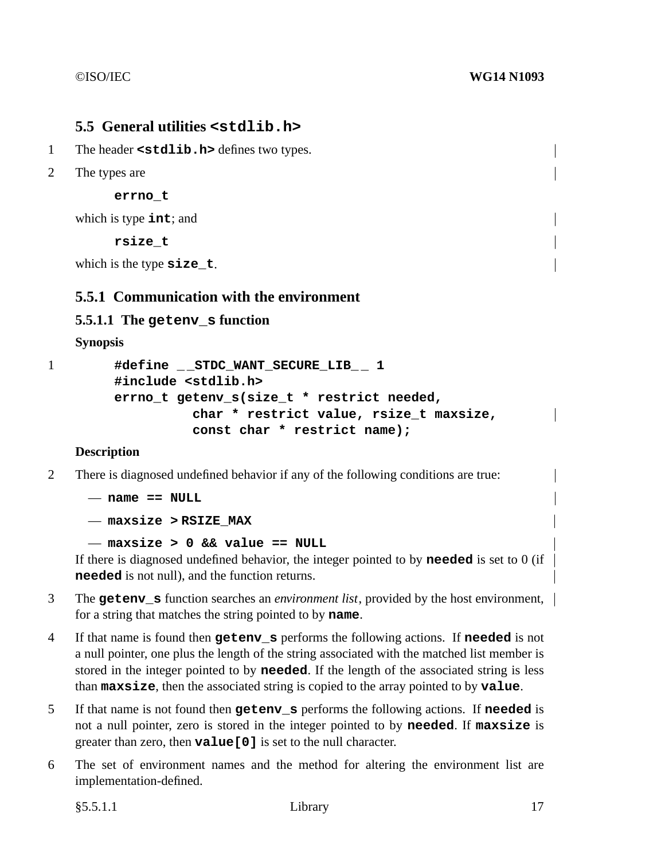# **5.5 General utilities <stdlib.h>**

- 1 The header **<stdlib.h>** defines two types.
- 2 The types are

**errno\_t**

which is type **int**; and

**rsize\_t**

which is the type **size\_t**.

# **5.5.1 Communication with the environment**

## **5.5.1.1 The getenv\_s function**

**Synopsis**

```
1 #define _ _STDC_WANT_SECURE_LIB_ _ 1
        #include <stdlib.h>
        errno_t getenv_s(size_t * restrict needed,
                  char * restrict value, rsize t maxsize,
                  const char * restrict name);
```
## **Description**

2 There is diagnosed undefined behavior if any of the following conditions are true:

```
— name == NULL
```
— **maxsize > RSIZE\_MAX**

```
— maxsize > 0 && value == NULL
```
If there is diagnosed undefined behavior, the integer pointed to by **needed** is set to 0 (if **needed** is not null), and the function returns.

- 3 The **getenv\_s** function searches an *environment list*, provided by the host environment, for a string that matches the string pointed to by **name**.
- 4 If that name is found then **getenv\_s** performs the following actions. If **needed** is not a null pointer, one plus the length of the string associated with the matched list member is stored in the integer pointed to by **needed**. If the length of the associated string is less than **maxsize**, then the associated string is copied to the array pointed to by **value**.
- 5 If that name is not found then **getenv\_s** performs the following actions. If **needed** is not a null pointer, zero is stored in the integer pointed to by **needed**. If **maxsize** is greater than zero, then **value[0]** is set to the null character.
- 6 The set of environment names and the method for altering the environment list are implementation-defined.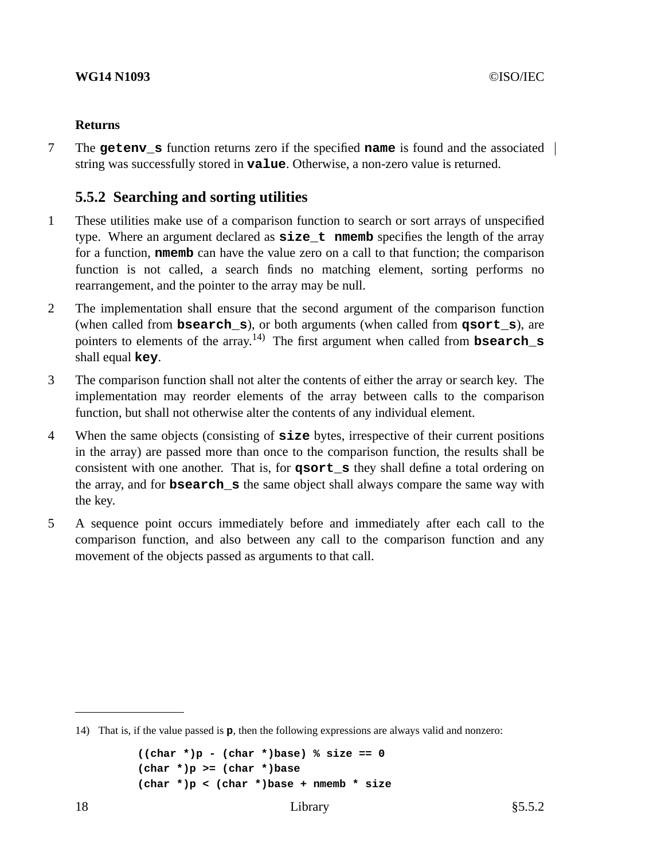## **Returns**

7 The **getenv\_s** function returns zero if the specified **name** is found and the associated string was successfully stored in **value**. Otherwise, a non-zero value is returned.

# **5.5.2 Searching and sorting utilities**

- 1 These utilities make use of a comparison function to search or sort arrays of unspecified type. Where an argument declared as **size** t **nmemb** specifies the length of the array for a function, **nmemb** can have the value zero on a call to that function; the comparison function is not called, a search finds no matching element, sorting performs no rearrangement, and the pointer to the array may be null.
- 2 The implementation shall ensure that the second argument of the comparison function (when called from **bsearch\_s**), or both arguments (when called from **qsort\_s**), are pointers to elements of the array. 14) The first argument when called from **bsearch\_s** shall equal **key**.
- 3 The comparison function shall not alter the contents of either the array or search key. The implementation may reorder elements of the array between calls to the comparison function, but shall not otherwise alter the contents of any individual element.
- 4 When the same objects (consisting of **size** bytes, irrespective of their current positions in the array) are passed more than once to the comparison function, the results shall be consistent with one another. That is, for **qsort\_s** they shall define a total ordering on the array, and for **bsearch\_s** the same object shall always compare the same way with the key.
- 5 A sequence point occurs immediately before and immediately after each call to the comparison function, and also between any call to the comparison function and any movement of the objects passed as arguments to that call.

```
((char * )p - (char * )base) % size == 0(char *)p >= (char *)base
(char *)p < (char *)base + nmemb * size
```
<sup>14)</sup> That is, if the value passed is **p**, then the following expressions are always valid and nonzero: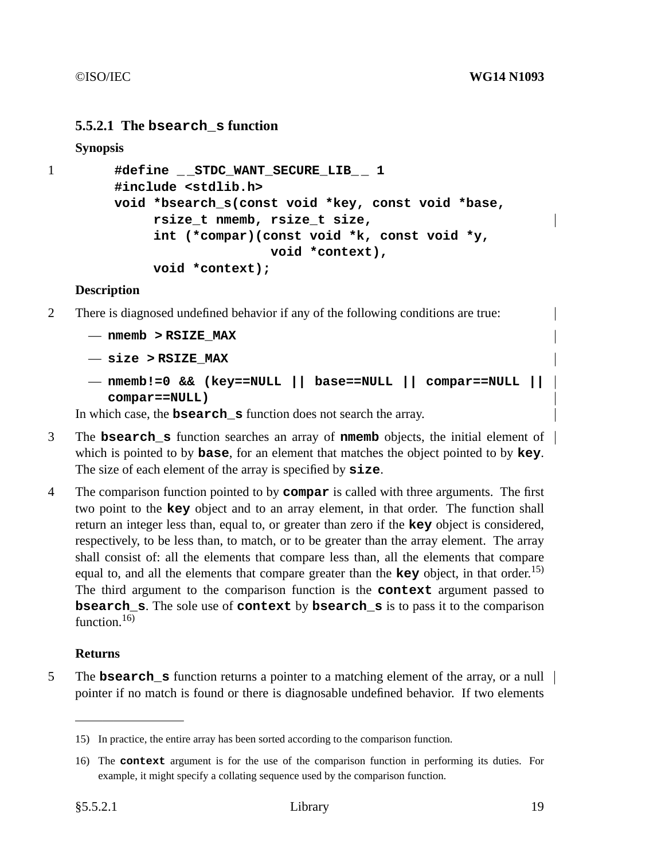## **5.5.2.1 The bsearch\_s function**

**Synopsis**

```
1 #define _ _STDC_WANT_SECURE_LIB_ _ 1
        #include <stdlib.h>
        void *bsearch_s(const void *key, const void *base,
             rsize_t nmemb, rsize_t size,
             int (*compar)(const void *k, const void *y,
                            void *context),
             void *context);
```
## **Description**

- 2 There is diagnosed undefined behavior if any of the following conditions are true:
	- **nmemb > RSIZE\_MAX**
	- **size > RSIZE\_MAX**
	- **nmemb!=0 && (key==NULL || base==NULL || compar==NULL || compar==NULL)**

In which case, the **bsearch\_s** function does not search the array.

- 3 The **bsearch\_s** function searches an array of **nmemb** objects, the initial element of which is pointed to by **base**, for an element that matches the object pointed to by **key**. The size of each element of the array is specified by **size**.
- 4 The comparison function pointed to by **compar** is called with three arguments. The first two point to the **key** object and to an array element, in that order. The function shall return an integer less than, equal to, or greater than zero if the **key** object is considered, respectively, to be less than, to match, or to be greater than the array element. The array shall consist of: all the elements that compare less than, all the elements that compare equal to, and all the elements that compare greater than the **key** object, in that order. 15) The third argument to the comparison function is the **context** argument passed to **bsearch\_s**. The sole use of **context** by **bsearch\_s** is to pass it to the comparison function. $16$ )

## **Returns**

5 The **bsearch\_s** function returns a pointer to a matching element of the array, or a null | pointer if no match is found or there is diagnosable undefined behavior. If two elements

<sup>15)</sup> In practice, the entire array has been sorted according to the comparison function.

<sup>16)</sup> The **context** argument is for the use of the comparison function in performing its duties. For example, it might specify a collating sequence used by the comparison function.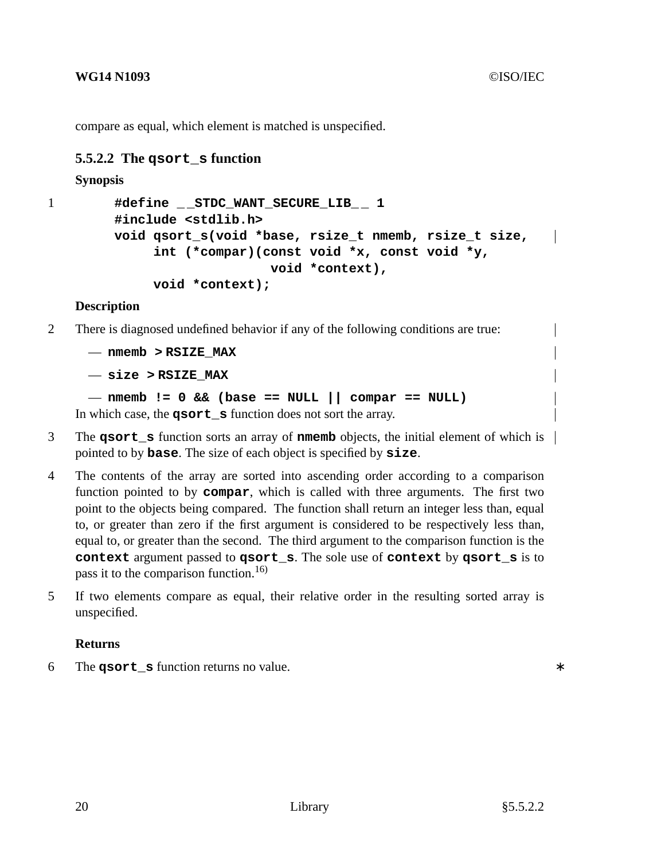compare as equal, which element is matched is unspecified.

# **5.5.2.2 The qsort\_s function**

## **Synopsis**

```
1 #define _ _STDC_WANT_SECURE_LIB_ _ 1
         #include <stdlib.h>
         void qsort_s(void *base, rsize_t nmemb, rsize_t size,
                                                                       \overline{\phantom{a}}int (*compar)(const void *x, const void *y,
                               void *context),
              void *context);
```
## **Description**

- 2 There is diagnosed undefined behavior if any of the following conditions are true:
	- **nmemb > RSIZE\_MAX**

— **size > RSIZE\_MAX**

```
— nmemb != 0 && (base == NULL || compar == NULL)
In which case, the qsort s function does not sort the array.
```
- 3 The **qsort\_s** function sorts an array of **nmemb** objects, the initial element of which is pointed to by **base**. The size of each object is specified by **size**.
- 4 The contents of the array are sorted into ascending order according to a comparison function pointed to by **compar**, which is called with three arguments. The first two point to the objects being compared. The function shall return an integer less than, equal to, or greater than zero if the first argument is considered to be respectively less than, equal to, or greater than the second. The third argument to the comparison function is the **context** argument passed to **qsort\_s**. The sole use of **context** by **qsort\_s** is to pass it to the comparison function.<sup>16)</sup>
- 5 If two elements compare as equal, their relative order in the resulting sorted array is unspecified.

## **Returns**

6 The **qsort\_s** function returns no value. ∗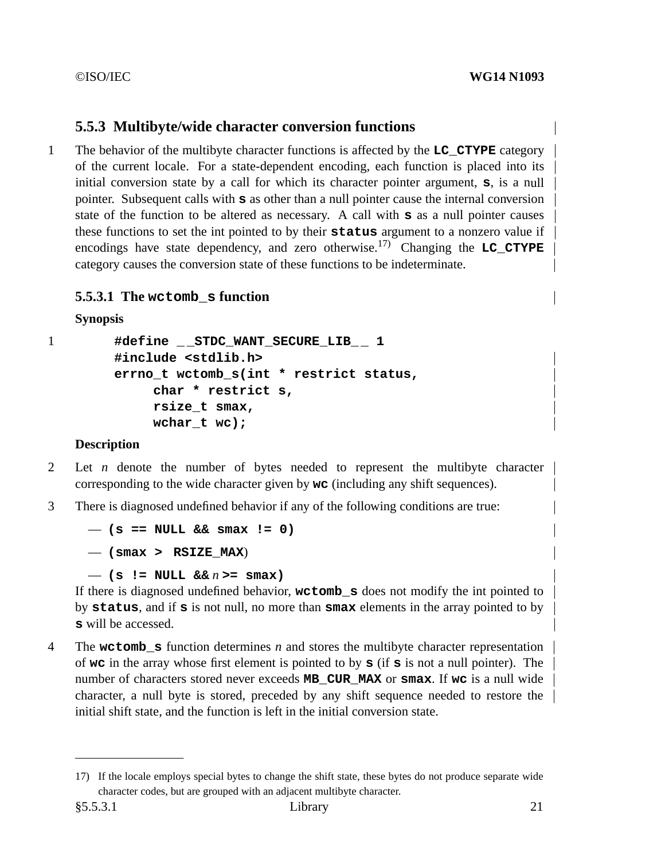# **5.5.3 Multibyte/wide character conversion functions**

1 The behavior of the multibyte character functions is affected by the **LC\_CTYPE** category of the current locale. Forastate-dependent encoding, each function is placed into its initial conversion state by a call for which its character pointer argument,  $\mathbf{s}$ , is a null pointer. Subsequent calls with **s** as other than a null pointer cause the internal conversion state of the function to be altered as necessary. A call with **s** as a null pointer causes these functions to set the int pointed to by their **status** argument to a nonzero value if encodings have state dependency, and zero otherwise.17) Changing the **LC\_CTYPE** category causes the conversion state of these functions to be indeterminate.

# **5.5.3.1 The wctomb\_s function**

```
Synopsis
```

```
1 #define _ _STDC_WANT_SECURE_LIB_ _ 1
        #include <stdlib.h>
        errno_t wctomb_s(int * restrict status,
             char * restrict s,
             rsize_t smax,
             wchar_t wc);
```
# **Description**

- 2 Let *n* denote the number of bytes needed to represent the multibyte character corresponding to the wide character given by **wc** (including any shift sequences).
- 3 There is diagnosed undefined behavior if any of the following conditions are true:

— **(s == NULL && smax != 0)**

— **(smax > RSIZE\_MAX**)

— **(s != NULL &&** *n* **>= smax)**

If there is diagnosed undefined behavior, **wctomb\_s** does not modify the int pointed to by **status**, and if **s** is not null, no more than **smax** elements in the array pointed to by **s** will be accessed.

4 The **wctomb\_s** function determines *n* and stores the multibyte character representation of **wc** in the array whose first element is pointed to by **s** (if **s** is not a null pointer). The number of characters stored never exceeds **MB\_CUR\_MAX** or **smax**. If **wc** is a null wide character, a null byte is stored, preceded by any shift sequence needed to restore the initial shift state, and the function is left in the initial conversion state.

<sup>17)</sup> If the locale employs special bytes to change the shift state, these bytes do not produce separate wide character codes, but are grouped with an adjacent multibyte character.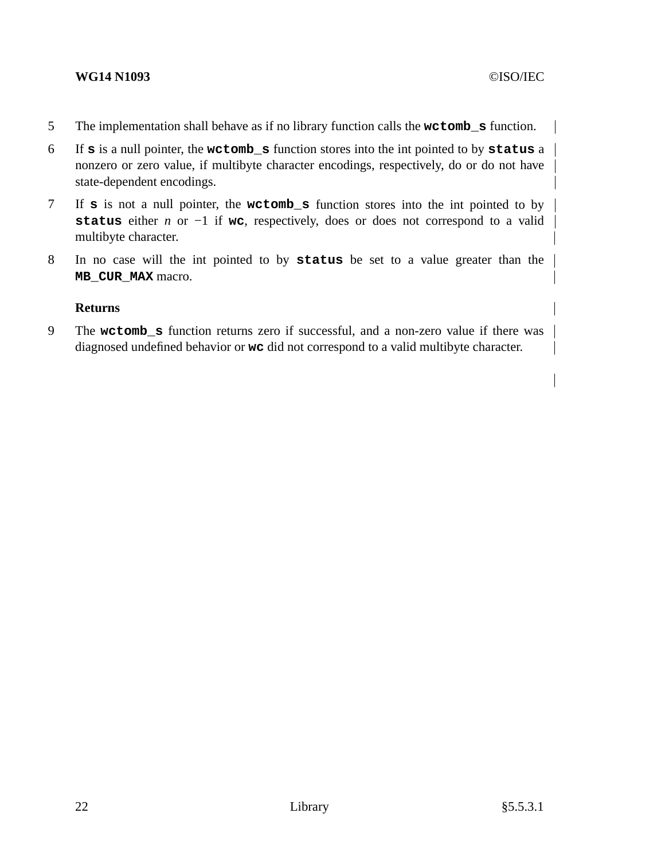## **WG14 N1093** ©ISO/IEC

- 5 The implementation shall behave as if no library function calls the **wctomb\_s** function.
- 6 If **s** is a null pointer, the **wctomb\_s** function stores into the int pointed to by **status** a nonzero or zero value, if multibyte character encodings, respectively, do or do not have state-dependent encodings.
- 7 If **s** is not a null pointer, the **wctomb\_s** function stores into the int pointed to by **status** either *n* or −1 if **wc**, respectively, does or does not correspond to a valid multibyte character.
- 8 In no case will the int pointed to by **status** be set to a value greater than the **MB\_CUR\_MAX** macro.

## **Returns**

9 The **wctomb\_s** function returns zero if successful, and a non-zero value if there was diagnosed undefined behavior or **wc** did not correspond to a valid multibyte character.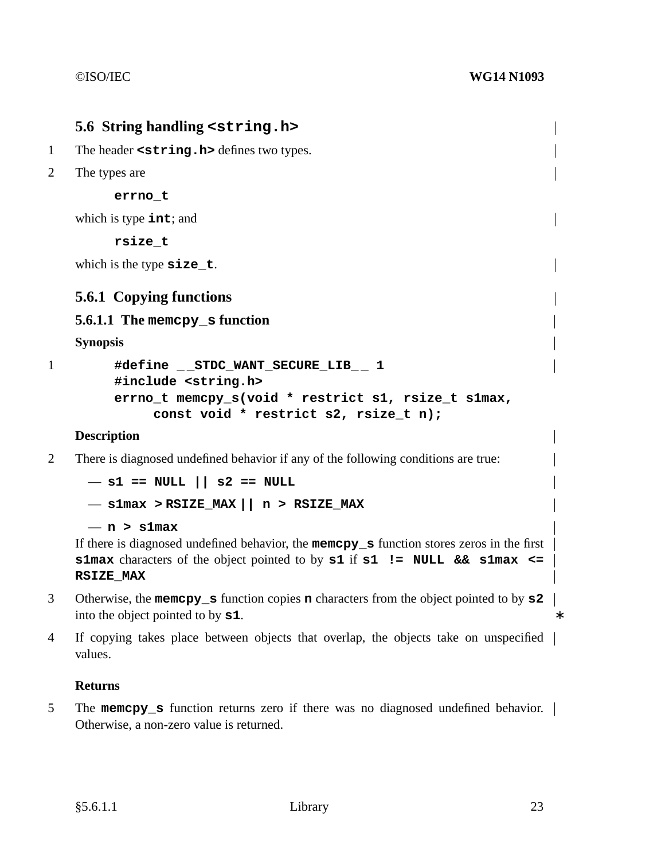# **5.6 String handling <string.h>** 1 The header **<string.h>** defines two types. 2 The types are **errno\_t** which is type **int**; and **rsize\_t** which is the type **size\_t**. **5.6.1 Copying functions 5.6.1.1 The memcpy\_s function Synopsis** 1 **#define \_ \_STDC\_WANT\_SECURE\_LIB\_ \_ 1 #include <string.h> errno\_t memcpy\_s(void \* restrict s1, rsize\_t s1max, const void \* restrict s2, rsize\_t n);**

## **Description**

2 There is diagnosed undefined behavior if any of the following conditions are true:

```
— s1 == NULL || s2 == NULL
```

```
— s1max > RSIZE_MAX || n>RSIZE_MAX
```

```
— n>s1max
```
If there is diagnosed undefined behavior, the **memcpy\_s** function stores zeros in the first **s1max** characters of the object pointed to by **s1** if **s1 != NULL && s1max <= RSIZE\_MAX**

- 3 Otherwise, the **memcpy\_s** function copies **n** characters from the object pointed to by **s2** into the object pointed to by **s1**.
- 4 If copying takes place between objects that overlap, the objects take on unspecified values.

## **Returns**

5 The **memcpy\_s** function returns zero if there was no diagnosed undefined behavior. Otherwise, a non-zero value is returned.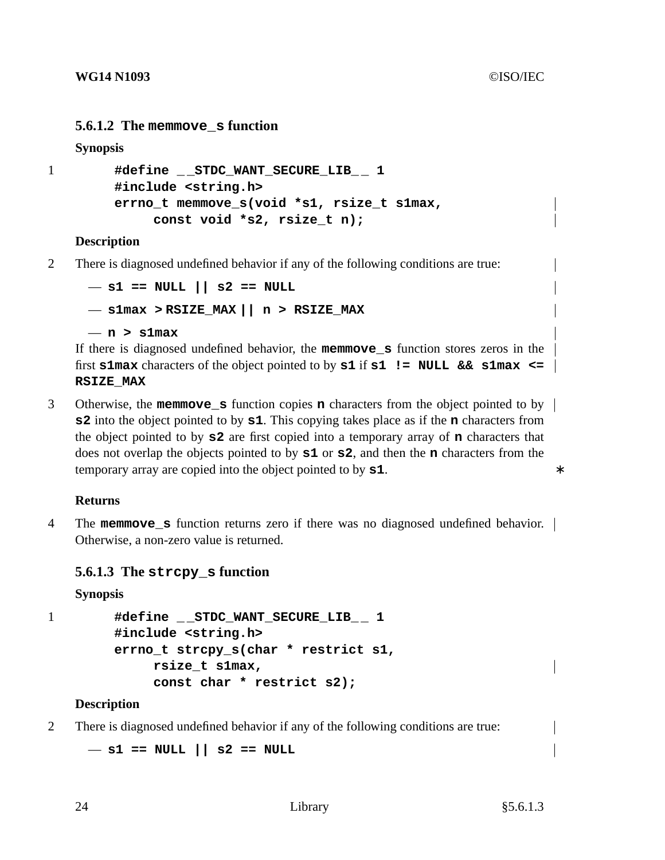## **5.6.1.2 The memmove\_s function**

**Synopsis**

```
1 #define _ _STDC_WANT_SECURE_LIB_ _ 1
        #include <string.h>
        errno_t memmove_s(void *s1, rsize_t s1max,
             const void *s2, rsize_t n);
```
## **Description**

2 There is diagnosed undefined behavior if any of the following conditions are true:

```
— s1 == NULL || s2 == NULL
— s1max > RSIZE_MAX || n>RSIZE_MAX
— n>s1max
```
If there is diagnosed undefined behavior, the **memmove\_s** function stores zeros in the first **s1max** characters of the object pointed to by **s1** if **s1**  $\mathbf{I} = \mathbf{NULL}$  & **s1max**  $\leq$ **RSIZE\_MAX**

3 Otherwise, the **memmove\_s** function copies **n** characters from the object pointed to by **s2** into the object pointed to by **s1**. This copying takes place as if the **n** characters from the object pointed to by **s2** are first copied into a temporary array of **n** characters that does not overlap the objects pointed to by **s1** or **s2**, and then the **n** characters from the temporary array are copied into the object pointed to by **s1**. ∗

## **Returns**

4 The **memmove\_s** function returns zero if there was no diagnosed undefined behavior. Otherwise, a non-zero value is returned.

# **5.6.1.3 The strcpy\_s function**

## **Synopsis**

```
1 #define _ _STDC_WANT_SECURE_LIB_ _ 1
        #include <string.h>
        errno_t strcpy_s(char * restrict s1,
             rsize_t s1max,
             const char * restrict s2);
```
## **Description**

2 There is diagnosed undefined behavior if any of the following conditions are true:

— **s1 == NULL || s2 == NULL**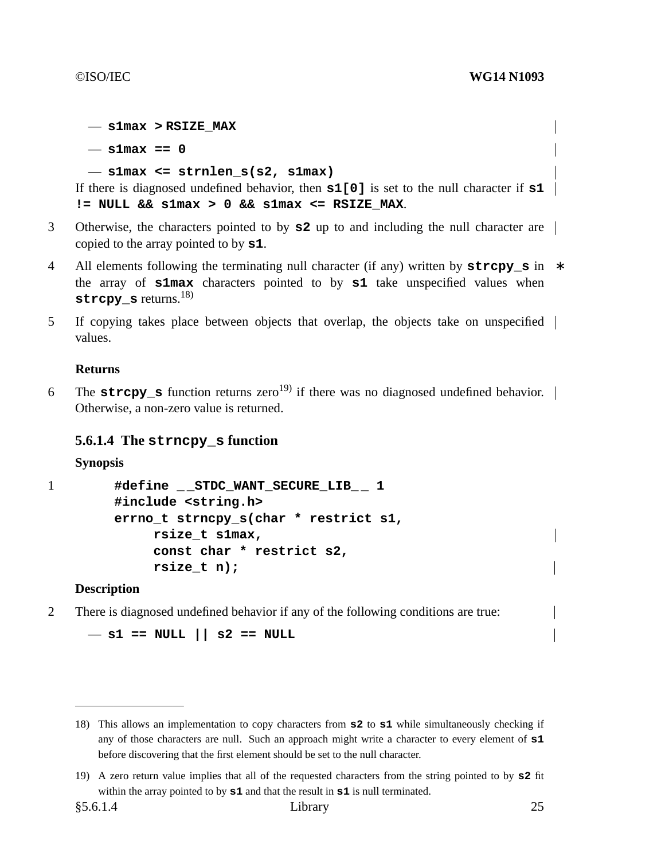— **s1max > RSIZE\_MAX**

— **s1max == 0**

```
— s1max <= strnlen_s(s2, s1max)
```
If there is diagnosed undefined behavior, then **s1[0]** is set to the null character if **s1**  $!=$  NULL &&  $s1max > 0$  &&  $s1max \leq$  RSIZE MAX.

- 3 Otherwise, the characters pointed to by **s2** up to and including the null character are copied to the array pointed to by **s1**.
- 4 All elements following the terminating null character (if any) written by **strcpy\_s** in ∗ the array of **s1max** characters pointed to by **s1** take unspecified values when **strcpy\_s** returns.18)
- 5 If copying takes place between objects that overlap, the objects take on unspecified values.

## **Returns**

6 The **strcpy s** function returns zero<sup>19)</sup> if there was no diagnosed undefined behavior. Otherwise, a non-zero value is returned.

## **5.6.1.4 The strncpy\_s function**

**Synopsis**

```
1 #define _ _STDC_WANT_SECURE_LIB_ _ 1
```

```
#include <string.h>
errno_t strncpy_s(char * restrict s1,
     rsize_t s1max,
     const char * restrict s2,
     rsize_t n);
```
## **Description**

2 There is diagnosed undefined behavior if any of the following conditions are true:

```
— s1 == NULL || s2 == NULL
```
<sup>18)</sup> This allows an implementation to copy characters from **s2** to **s1** while simultaneously checking if any of those characters are null. Such an approach might write a character to every element of **s1** before discovering that the first element should be set to the null character.

<sup>19)</sup> A zero return value implies that all of the requested characters from the string pointed to by **s2** fit within the array pointed to by **s1** and that the result in **s1** is null terminated.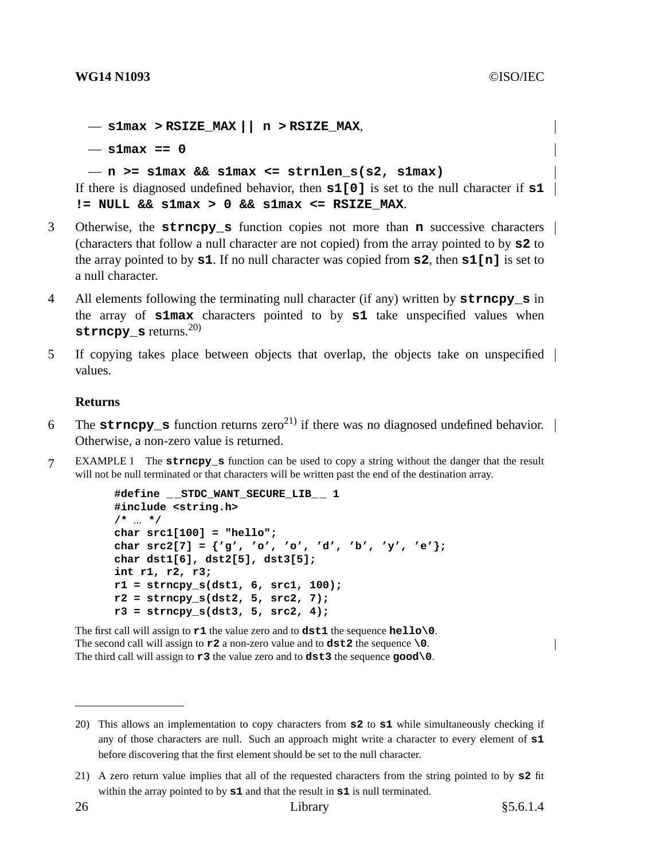— **s1max > RSIZE\_MAX || n > RSIZE\_MAX**, — **s1max == 0**

### — **n >= s1max && s1max <= strnlen\_s(s2, s1max)**

If there is diagnosed undefined behavior, then **s1[0]** is set to the null character if **s1**  $!=$  NULL &&  $s1max > 0$  &&  $s1max < =$  RSIZE MAX.

- 3 Otherwise, the **strncpy\_s** function copies not more than **n** successive characters (characters that followanull character are not copied) from the array pointed to by **s2** to the array pointed to by **s1**. If no null character was copied from **s2**, then **s1[n]** is set to a null character.
- 4 All elements following the terminating null character (if any) written by **strncpy\_s** in the array of **s1max** characters pointed to by **s1** take unspecified values when **strncpy s** returns.<sup>20)</sup>
- 5 If copying takes place between objects that overlap, the objects take on unspecified values.

## **Returns**

- 6 The **strncpy s** function returns zero<sup>21)</sup> if there was no diagnosed undefined behavior. Otherwise, a non-zero value is returned.
- 7 EXAMPLE 1 The **strncpy\_s** function can be used to copyastring without the danger that the result will not be null terminated or that characters will be written past the end of the destination array.

```
#define _ _STDC_WANT_SECURE_LIB_ _ 1
#include <string.h>
/* ... */
char src1[100] = "hello";
char src2[7] = {'g', 'o', 'o', 'd', 'b', 'y', 'e'};
char dst1[6], dst2[5], dst3[5];
int r1, r2, r3;
r1 = strncpy_s(dst1, 6, src1, 100);
r2 = strncpy_s(dst2, 5, src2, 7);
r3 = strncpy_s(dst3, 5, src2, 4);
```
The first call will assign to **r1** the value zero and to **dst1** the sequence **hello\0**. The second call will assign to **r2** a non-zero value and to **dst2** the sequence **\0**. The third call will assign to **r3** the value zero and to **dst3** the sequence **good\0**.

<sup>20)</sup> This allows an implementation to copy characters from **s2** to **s1** while simultaneously checking if any of those characters are null. Such an approach might write a character to every element of **s1** before discovering that the first element should be set to the null character.

<sup>21)</sup> A zero return value implies that all of the requested characters from the string pointed to by **s2** fit within the array pointed to by **s1** and that the result in **s1** is null terminated.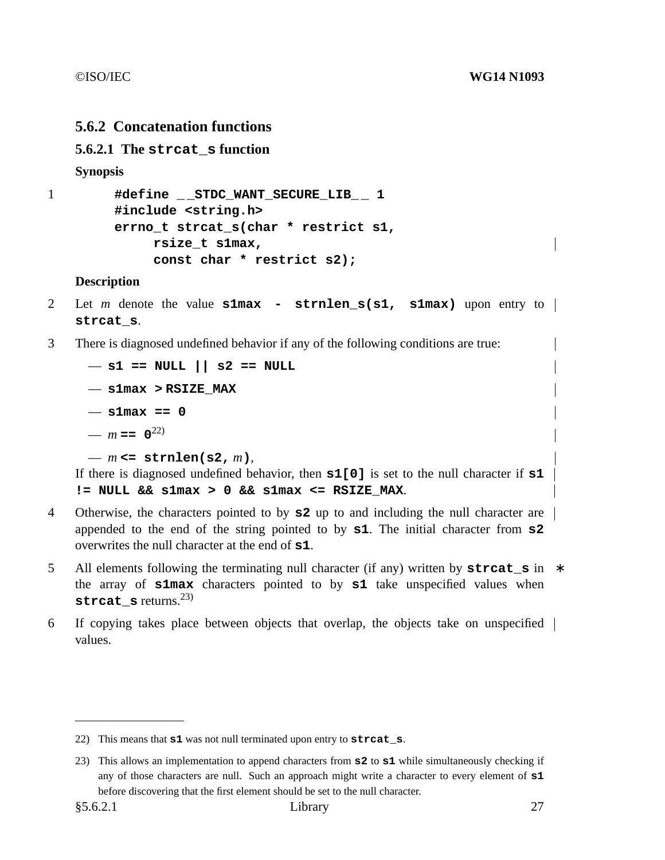# **5.6.2 Concatenation functions**

## **5.6.2.1 The strcat\_s function**

**Synopsis**

```
1 #define _ _STDC_WANT_SECURE_LIB_ _ 1
        #include <string.h>
        errno_t strcat_s(char * restrict s1,
             rsize_t s1max,
             const char * restrict s2);
```
### **Description**

- 2 Let *m* denote the value **s1max strnlen\_s(s1, s1max)** upon entry to **strcat\_s**.
- 3 There is diagnosed undefined behavior if any of the following conditions are true:

```
— s1 == NULL || s2 == NULL
— s1max > RSIZE_MAX
— s1max == 0
- m = 0^{22}— m <= strnlen(s2, m),
```
If there is diagnosed undefined behavior, then **s1[0]** is set to the null character if **s1**  $!=$  NULL &&  $s1max > 0$  &&  $s1max < =$  RSIZE MAX.

- 4 Otherwise, the characters pointed to by **s2** up to and including the null character are appended to the end of the string pointed to by **s1**. The initial character from **s2** overwrites the null character at the end of **s1**.
- 5 All elements following the terminating null character (if any) written by **streat s** in  $*$ the array of **s1max** characters pointed to by **s1** take unspecified values when strcat s returns.<sup>23)</sup>
- 6 If copying takes place between objects that overlap, the objects take on unspecified values.

<sup>22)</sup> This means that **s1** was not null terminated upon entry to **strcat\_s**.

<sup>23)</sup> This allows an implementation to append characters from **s2** to **s1** while simultaneously checking if any of those characters are null. Such an approach might write a character to every element of **s1** before discovering that the first element should be set to the null character.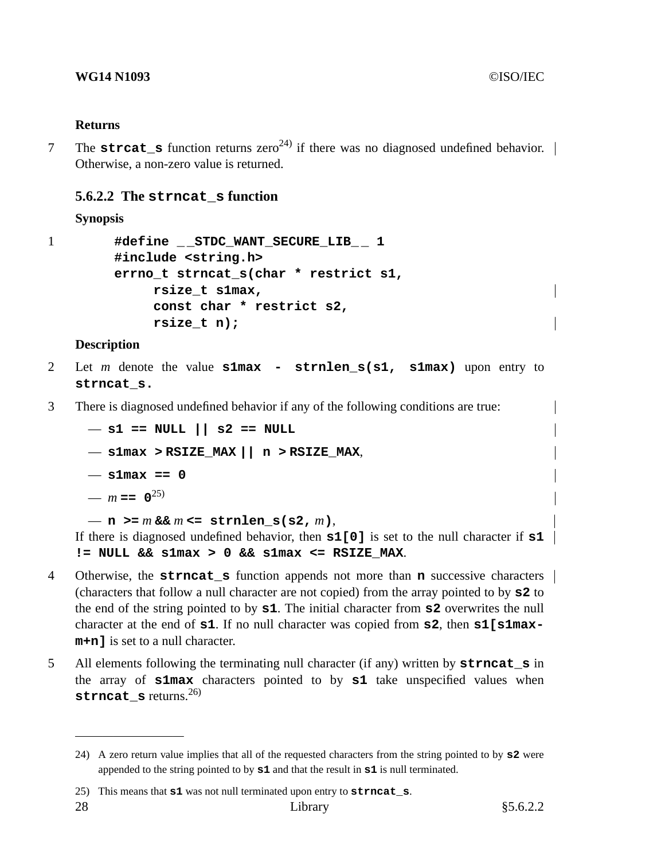## **Returns**

7 The **strcat\_s** function returns zero<sup>24)</sup> if there was no diagnosed undefined behavior.  $\vert$ Otherwise, a non-zero value is returned.

## **5.6.2.2 The strncat\_s function**

**Synopsis**

```
1 #define _ _STDC_WANT_SECURE_LIB_ _ 1
        #include <string.h>
        errno_t strncat_s(char * restrict s1,
             rsize_t s1max,
             const char * restrict s2,
             rsize_t n);
```
## **Description**

- 2 Let *m* denote the value **s1max strnlen\_s(s1, s1max)** upon entry to **strncat\_s.**
- 3 There is diagnosed undefined behavior if any of the following conditions are true:

— **s1 == NULL || s2 == NULL** — **s1max > RSIZE\_MAX || n > RSIZE\_MAX**, — **s1max == 0** —  $m == 0^{25}$ 

```
- n >= m & m <= strnlen s(s2, m),
```
If there is diagnosed undefined behavior, then **s1[0]** is set to the null character if **s1**  $!=$  NULL &&  $s1max > 0$  &&  $s1max < =$  RSIZE MAX.

- 4 Otherwise, the **strncat\_s** function appends not more than **n** successive characters (characters that followanull character are not copied) from the array pointed to by **s2** to the end of the string pointed to by **s1**. The initial character from **s2** overwrites the null character at the end of **s1**. If no null character was copied from **s2**, then **s1**[**s1maxm+n]** is set to a null character.
- 5 All elements following the terminating null character (if any) written by **strncat\_s** in the array of **s1max** characters pointed to by **s1** take unspecified values when **strncat s** returns.<sup>26)</sup>

<sup>24)</sup> A zero return value implies that all of the requested characters from the string pointed to by **s2** were appended to the string pointed to by **s1** and that the result in **s1** is null terminated.

<sup>25)</sup> This means that **s1** was not null terminated upon entry to **strncat\_s**.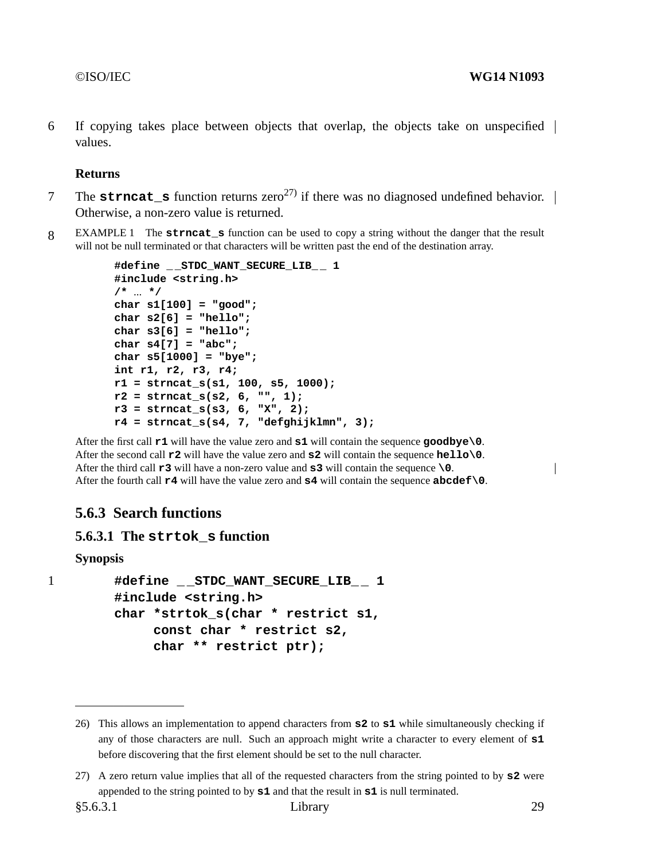6 If copying takes place between objects that overlap, the objects take on unspecified values.

## **Returns**

- 7 The **strncat\_s** function returns  $zero^{27}$  if there was no diagnosed undefined behavior.  $\vert$ Otherwise, a non-zero value is returned.
- 8 EXAMPLE 1 The **strncat\_s** function can be used to copyastring without the danger that the result will not be null terminated or that characters will be written past the end of the destination array.

```
#define _ _STDC_WANT_SECURE_LIB_ _ 1
#include <string.h>
/* ... */
char s1[100] = "good";
char s2[6] = "hello";
char s3[6] = "hello";
char s4[7] = "abc";
char s5[1000] = "bye";
int r1, r2, r3, r4;
r1 = strncat_s(s1, 100, s5, 1000);
r2 = strncat_s(s2, 6, "", 1);
r3 = strncat_s(s3, 6, "X", 2);
r4 = strncat_s(s4, 7, "defghijklmn", 3);
```
After the first call **r1** will have the value zero and **s1** will contain the sequence **goodbye\0**. After the second call **r2** will have the value zero and **s2** will contain the sequence **hello\0**. After the third call **r3** will have a non-zero value and **s3** will contain the sequence **\0**. After the fourth call **r4** will have the value zero and **s4** will contain the sequence **abcdef\0**.

# **5.6.3 Search functions**

## **5.6.3.1 The strtok\_s function**

**Synopsis**

```
1 #define _ _STDC_WANT_SECURE_LIB_ _ 1
        #include <string.h>
        char *strtok_s(char * restrict s1,
             const char * restrict s2,
             char ** restrict ptr);
```
 $\overline{\phantom{a}}$ 

<sup>26)</sup> This allows an implementation to append characters from **s2** to **s1** while simultaneously checking if any of those characters are null. Such an approach might write a character to every element of **s1** before discovering that the first element should be set to the null character.

<sup>27)</sup> A zero return value implies that all of the requested characters from the string pointed to by **s2** were appended to the string pointed to by **s1** and that the result in **s1** is null terminated.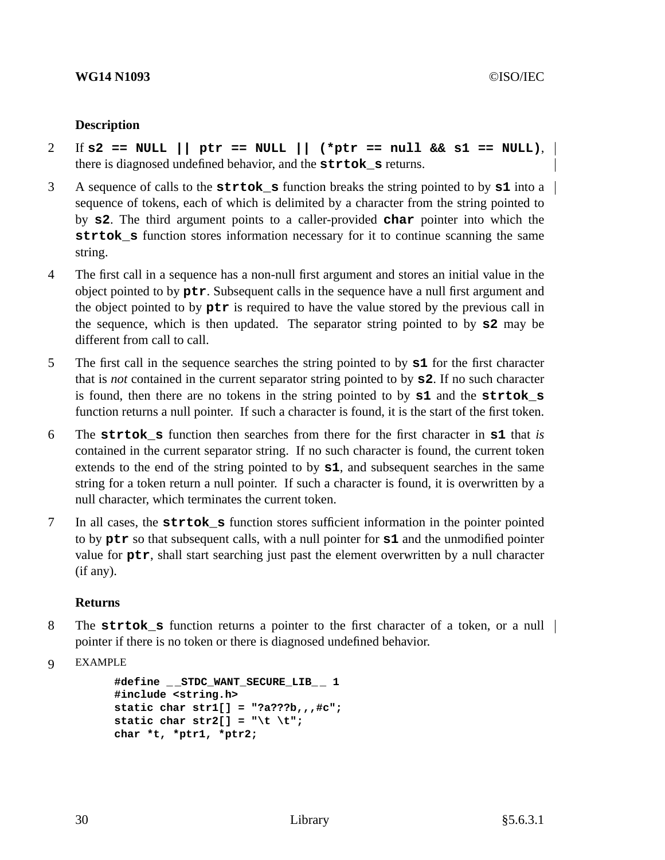## **WG14 N1093** ©ISO/IEC

## **Description**

- 2 If **s2 == NULL || ptr == NULL || (\*ptr == null && s1 == NULL)**, there is diagnosed undefined behavior, and the **strtok\_s** returns.
- 3 A sequence of calls to the **strtok\_s** function breaks the string pointed to by **s1** into a sequence of tokens, each of which is delimited by a character from the string pointed to by **s2**. The third argument points to a caller-provided **char** pointer into which the **strtok\_s** function stores information necessary for it to continue scanning the same string.
- 4 The first call in a sequence has a non-null first argument and stores an initial value in the object pointed to by **ptr**. Subsequent calls in the sequence have a null first argument and the object pointed to by **ptr** is required to have the value stored by the previous call in the sequence, which is then updated. The separator string pointed to by **s2** may be different from call to call.
- 5 The first call in the sequence searches the string pointed to by **s1** for the first character that is *not* contained in the current separator string pointed to by **s2**. If no such character is found, then there are no tokens in the string pointed to by **s1** and the **strtok\_s** function returns a null pointer. If such a character is found, it is the start of the first token.
- 6 The **strtok\_s** function then searches from there for the first character in **s1** that *is* contained in the current separator string. If no such character is found, the current token extends to the end of the string pointed to by **s1**, and subsequent searches in the same string for a token return a null pointer. If such a character is found, it is overwritten by a null character, which terminates the current token.
- 7 In all cases, the **strtok\_s** function stores sufficient information in the pointer pointed to by **ptr** so that subsequent calls, with a null pointer for **s1** and the unmodified pointer value for **ptr**, shall start searching just past the element overwritten by a null character (if any).

## **Returns**

8 The **strtok\_s** function returns a pointer to the first character of a token, or a null pointer if there is no token or there is diagnosed undefined behavior.

```
9 EXAMPLE
```

```
#define _ _STDC_WANT_SECURE_LIB_ _ 1
#include <string.h>
static char str1[] = "?a???b,,,#c";
static char str2[] = "\t \setminus t";
char *t, *ptr1, *ptr2;
```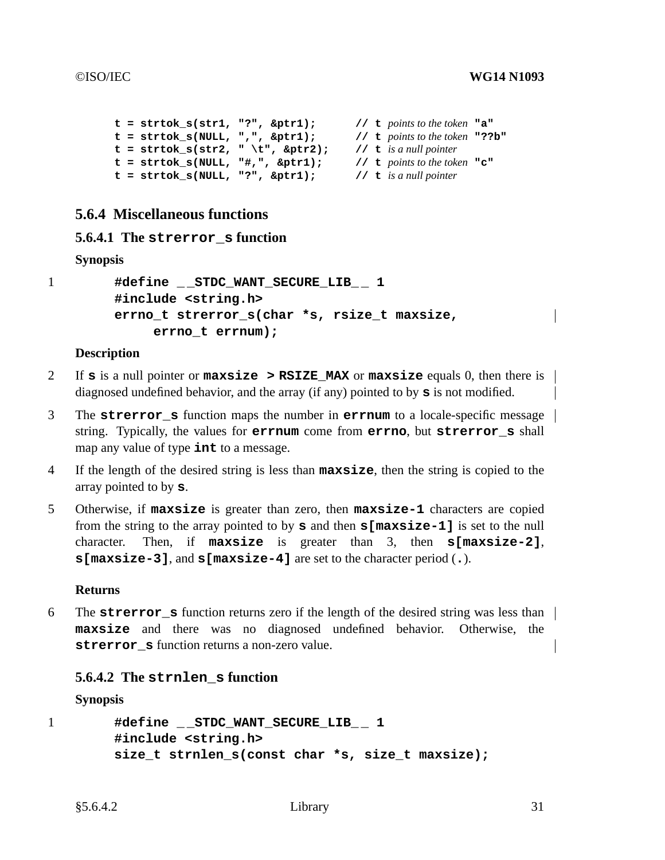```
t=strtok_s(str1, "?", &ptr1); // t points to the token "a"
t=strtok_s(NULL, ",", &ptr1); // t points to the token "??b"
t = \text{strtok}_s(\text{str2}, " \t t", \text{ str2}); // t is a null pointer<br>t = \text{strtok}_s(\text{NULL}, "#,", \text{ str1}); // t points to the token "c"
t=strtok_s(NULL, "#,", &ptr1); // t points to the token "c"
t=strtok_s(NULL, "?", &ptr1); // t is a null pointer
```
# **5.6.4 Miscellaneous functions**

## **5.6.4.1 The strerror\_s function**

## **Synopsis**

```
1 #define _ _STDC_WANT_SECURE_LIB_ _ 1
        #include <string.h>
        errno_t strerror_s(char *s, rsize_t maxsize,
             errno_t errnum);
```
## **Description**

- 2 If **s** is a null pointer or **maxsize > RSIZE\_MAX** or **maxsize** equals 0, then there is diagnosed undefined behavior, and the array (if any) pointed to by **s** is not modified.
- 3 The **strerror\_s** function maps the number in **errnum** to a locale-specific message string. Typically, the values for **errnum** come from **errno**, but **strerror\_s** shall map any value of type **int** to a message.
- 4 If the length of the desired string is less than **maxsize**, then the string is copied to the array pointed to by **s**.
- 5 Otherwise, if **maxsize** is greater than zero, then **maxsize-1** characters are copied from the string to the array pointed to by **s** and then **s[maxsize-1]** is set to the null character. Then, if **maxsize** is greater than 3, then **s[maxsize-2]**, **s[maxsize-3]**, and **s[maxsize-4]** are set to the character period (**.**).

## **Returns**

6 The **strerror** s function returns zero if the length of the desired string was less than | **maxsize** and there was no diagnosed undefined behavior. Otherwise, the **strerror** s function returns a non-zero value.

## **5.6.4.2 The strnlen\_s function**

## **Synopsis**

```
1 #define _ _STDC_WANT_SECURE_LIB_ _ 1
        #include <string.h>
        size_t strnlen_s(const char *s, size_t maxsize);
```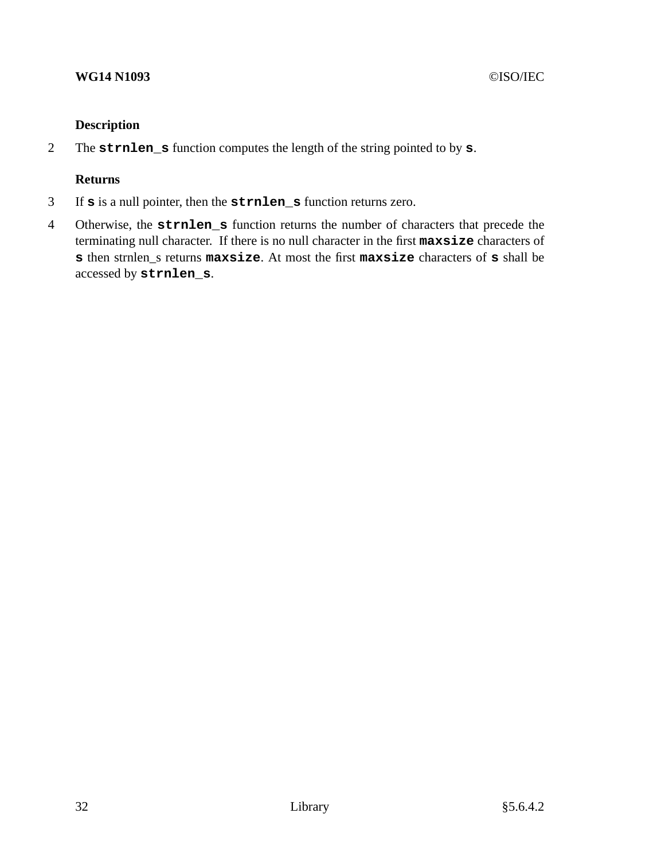# **Description**

2 The **strnlen\_s** function computes the length of the string pointed to by **s**.

# **Returns**

- 3 If **s** is a null pointer, then the **strnlen\_s** function returns zero.
- 4 Otherwise, the **strnlen\_s** function returns the number of characters that precede the terminating null character. If there is no null character in the first **maxsize** characters of **s** then strnlen\_s returns **maxsize**. At most the first **maxsize** characters of **s** shall be accessed by **strnlen\_s**.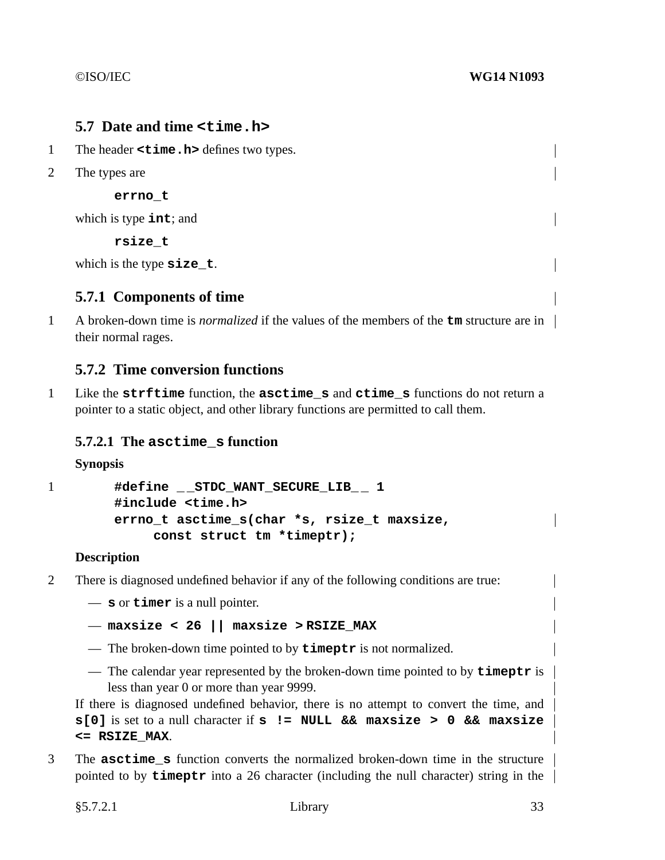# **5.7 Date and time <time.h>**

- 1 The header **<time.h>** defines two types.
- 2 The types are

**errno\_t**

which is type **int**; and

**rsize\_t**

which is the type **size** t.

# **5.7.1 Components of time**

1 A broken-down time is *normalized* if the values of the members of the  $\tan$  structure are in their normal rages.

# **5.7.2 Time conversion functions**

1 Like the **strftime** function, the **asctime\_s** and **ctime\_s** functions do not return a pointer to a static object, and other library functions are permitted to call them.

# **5.7.2.1 The asctime\_s function**

## **Synopsis**

```
1 #define _ _STDC_WANT_SECURE_LIB_ _ 1
        #include <time.h>
        errno_t asctime_s(char *s, rsize_t maxsize,
             const struct tm *timeptr);
```
## **Description**

2 There is diagnosed undefined behavior if any of the following conditions are true:

— **s** or **timer** is a null pointer.

— **maxsize < 26 || maxsize > RSIZE\_MAX**

- The broken-down time pointed to by **timeptr** is not normalized.
- The calendar year represented by the broken-down time pointed to by **timeptr** is less than year 0 or more than year 9999.

If there is diagnosed undefined behavior, there is no attempt to convert the time, and **s[0]** is set to a null character if **s != NULL && maxsize > 0 && maxsize <= RSIZE\_MAX**.

3 The **asctime\_s** function converts the normalized broken-down time in the structure pointed to by **timeptr** into a 26 character (including the null character) string in the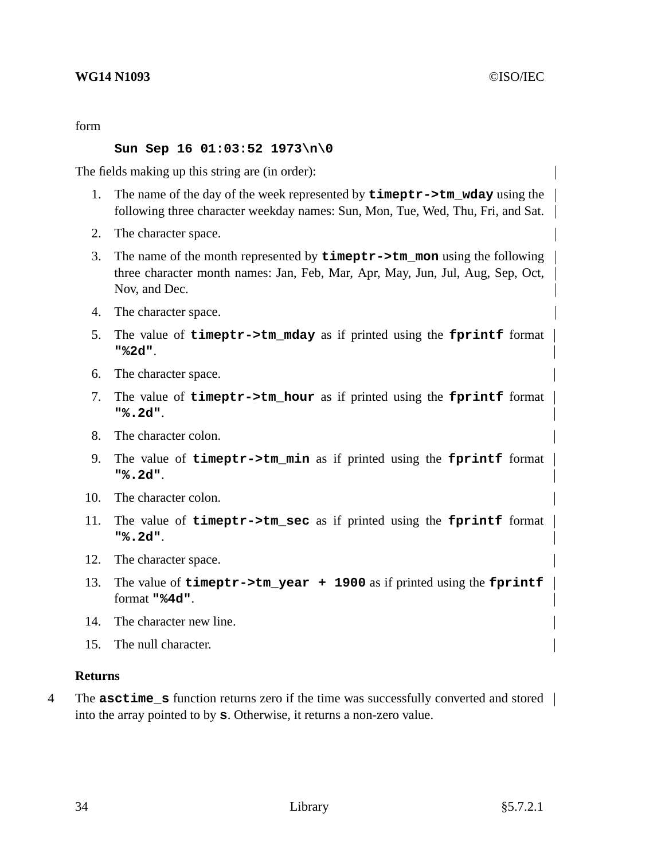## **WG14 N1093** ©ISO/IEC

form

## **Sun Sep 16 01:03:52 1973\n\0**

The fields making up this string are (in order):

- 1. The name of the day of the week represented by **timeptr->tm\_wday** using the following three character weekday names: Sun, Mon, Tue, Wed, Thu, Fri, and Sat.
- 2. The character space.
- 3. The name of the month represented by **timeptr->tm\_mon** using the following three character month names: Jan, Feb, Mar, Apr, May, Jun, Jul, Aug, Sep, Oct, Nov, and Dec.
- 4. The character space.
- 5. The value of **timeptr->tm\_mday** as if printed using the **fprintf** format **"%2d"**.
- 6. The character space.
- 7. The value of **timeptr->tm\_hour** as if printed using the **fprintf** format **"%.2d"**.
- 8. The character colon.
- 9. The value of **timeptr->tm\_min** as if printed using the **fprintf** format **"%.2d"**.
- 10. The character colon.
- 11. The value of **timeptr->tm\_sec** as if printed using the **fprintf** format **"%.2d"**.
- 12. The character space.
- 13. The value of **timeptr->tm\_year + 1900** as if printed using the **fprintf** format **"%4d"**.
- 14. The character new line.
- 15. The null character.

## **Returns**

4 The **asctime\_s** function returns zero if the time was successfully converted and stored into the array pointed to by **s**. Otherwise, it returns a non-zero value.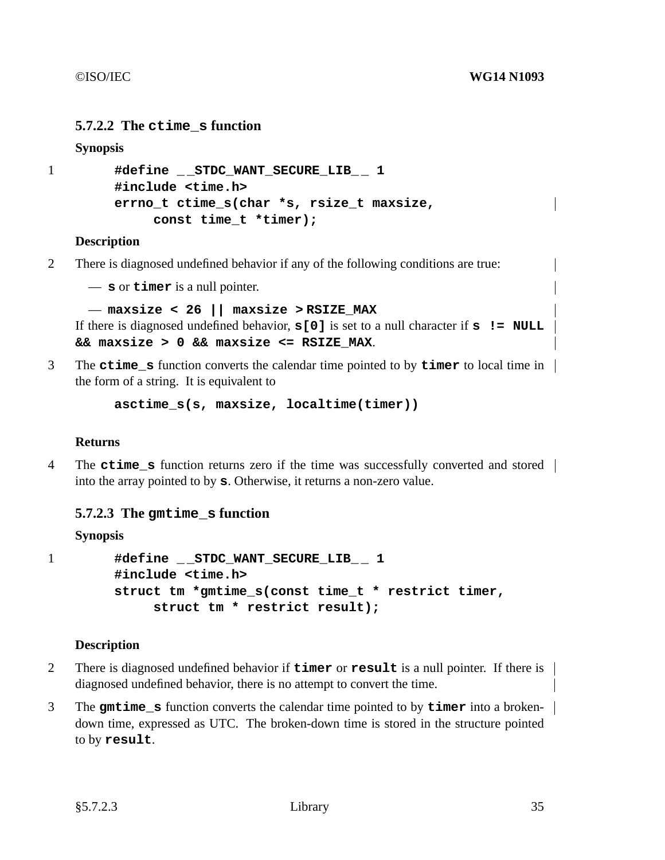# **5.7.2.2 The ctime\_s function**

## **Synopsis**

```
1 #define _ _STDC_WANT_SECURE_LIB_ _ 1
        #include <time.h>
        errno_t ctime_s(char *s, rsize_t maxsize,
             const time_t *timer);
```
## **Description**

2 There is diagnosed undefined behavior if any of the following conditions are true:

— **s** or **timer** is a null pointer.

```
— maxsize < 26 || maxsize > RSIZE_MAX
```

```
If there is diagnosed undefined behavior, s[0] is set to a null character if s != NULL
&& maxsize > 0 && maxsize <= RSIZE_MAX.
```
3 The **ctime\_s** function converts the calendar time pointed to by **timer** to local time in the form of a string. It is equivalent to

**asctime\_s(s, maxsize, localtime(timer))**

## **Returns**

4 The **ctime\_s** function returns zero if the time was successfully converted and stored into the array pointed to by **s**. Otherwise, it returns a non-zero value.

# **5.7.2.3 The gmtime\_s function**

**Synopsis**

```
1 #define _ _STDC_WANT_SECURE_LIB_ _ 1
        #include <time.h>
        struct tm *gmtime_s(const time_t * restrict timer,
             struct tm * restrict result);
```
## **Description**

- 2 There is diagnosed undefined behavior if **timer** or **result** is a null pointer. If there is diagnosed undefined behavior, there is no attempt to convert the time.
- 3 The **gmtime\_s** function converts the calendar time pointed to by **timer** into a brokendown time, expressed as UTC. The broken-down time is stored in the structure pointed to by **result**.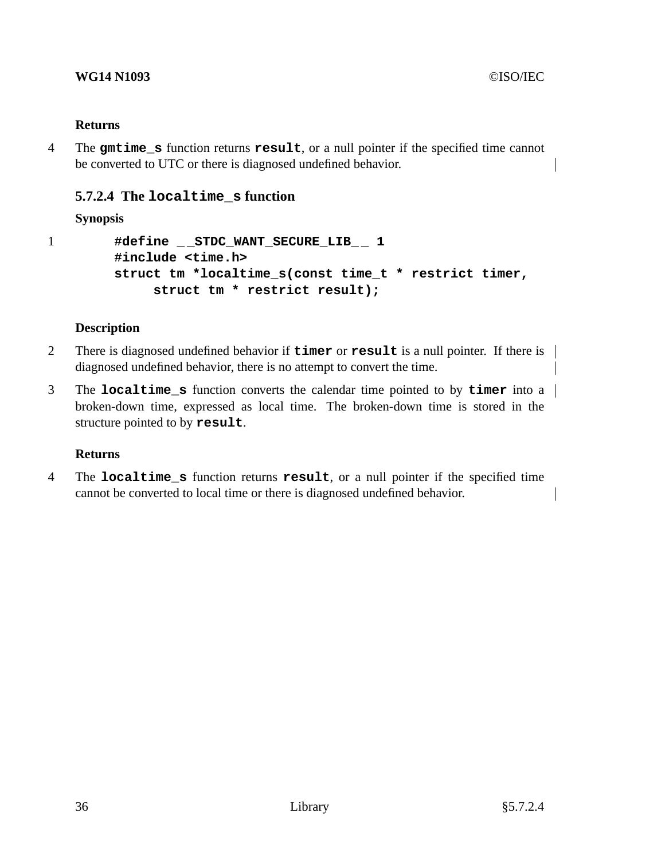## **WG14 N1093** ©ISO/IEC

## **Returns**

4 The **gmtime\_s** function returns **result**, oranull pointer if the specified time cannot be converted to UTC or there is diagnosed undefined behavior.

# **5.7.2.4 The localtime\_s function**

# **Synopsis**

```
1 #define _ _STDC_WANT_SECURE_LIB_ _ 1
        #include <time.h>
        struct tm *localtime_s(const time_t * restrict timer,
             struct tm * restrict result);
```
## **Description**

- 2 There is diagnosed undefined behavior if **timer** or **result** is a null pointer. If there is diagnosed undefined behavior, there is no attempt to convert the time.
- 3 The **localtime\_s** function converts the calendar time pointed to by **timer** into a broken-down time, expressed as local time. The broken-down time is stored in the structure pointed to by **result**.

## **Returns**

4 The **localtime\_s** function returns **result**, oranull pointer if the specified time cannot be converted to local time or there is diagnosed undefined behavior.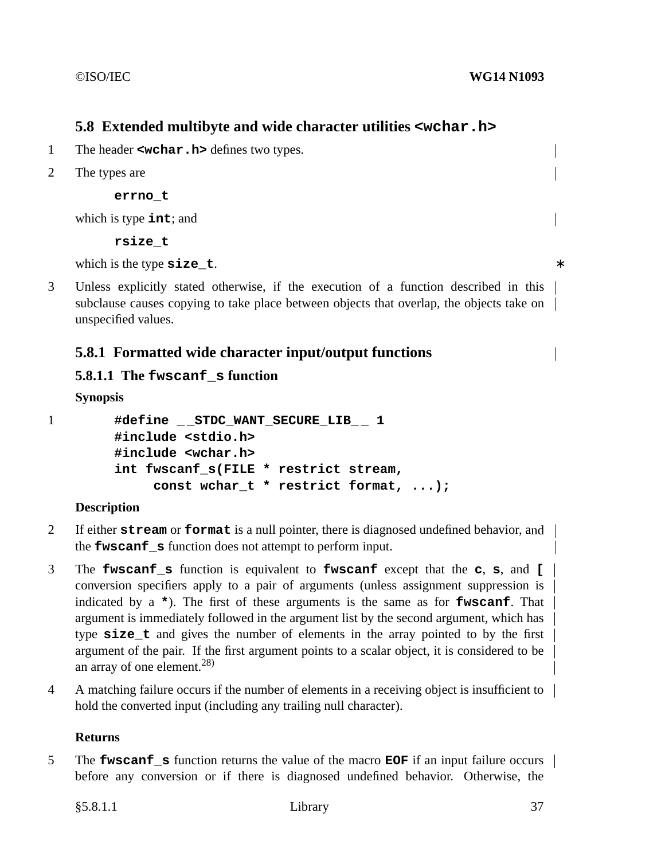# **5.8 Extended multibyte and wide character utilities <wchar.h>**

- 1 The header **<wchar.h>** defines two types.
- 2 The types are

**errno\_t**

which is type **int**; and

**rsize\_t**

which is the type **size t**.

3 Unless explicitly stated otherwise, if the execution of a function described in this subclause causes copying to take place between objects that overlap, the objects take on unspecified values.

# **5.8.1 Formatted wide character input/output functions**

# **5.8.1.1 The fwscanf\_s function**

## **Synopsis**

| #define __STDC_WANT_SECURE_LIB__ 1    |
|---------------------------------------|
| #include <stdio.h></stdio.h>          |
| #include <wchar.h></wchar.h>          |
| int fwscanf s(FILE * restrict stream, |
| const wchar $t *$ restrict format, ); |
|                                       |

# **Description**

- 2 If either **stream** or **format** is a null pointer, there is diagnosed undefined behavior, and the **fwscanf** s function does not attempt to perform input.
- 3 The **fwscanf\_s** function is equivalent to **fwscanf** except that the **c**, **s**, and **[** conversion specifiers apply to a pair of arguments (unless assignment suppression is indicated by a **\***). The first of these arguments is the same as for **fwscanf**. That argument is immediately followed in the argument list by the second argument, which has type size t and gives the number of elements in the array pointed to by the first argument of the pair. If the first argument points to a scalar object, it is considered to be an array of one element.<sup>28)</sup>
- 4 A matching failure occurs if the number of elements in a receiving object is insufficient to hold the converted input (including any trailing null character).

## **Returns**

5 The **fwscanf\_s** function returns the value of the macro **EOF** if an input failure occurs before any conversion or if there is diagnosed undefined behavior. Otherwise, the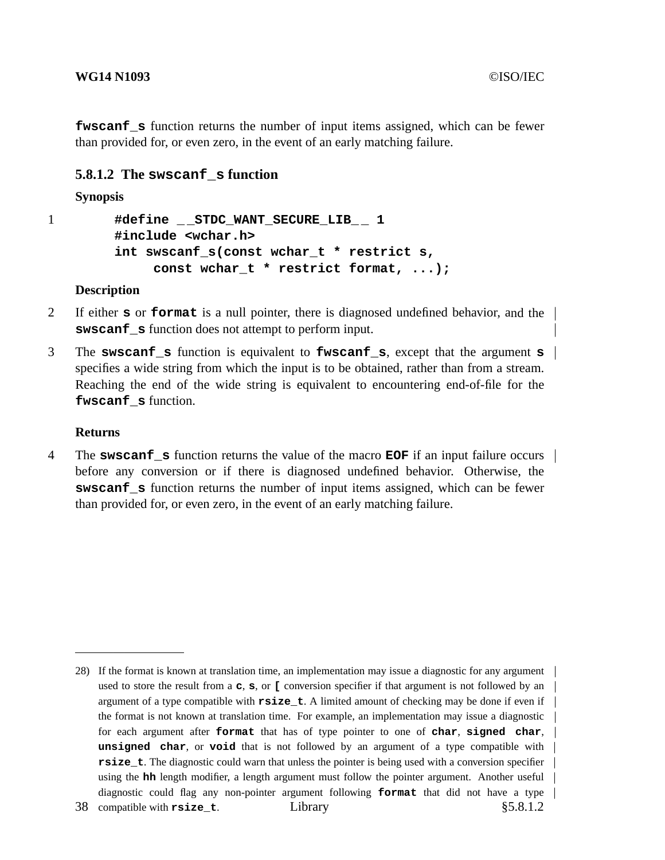**fwscanf** s function returns the number of input items assigned, which can be fewer than provided for, or even zero, in the event of an early matching failure.

## **5.8.1.2 The swscanf\_s function**

**Synopsis**

```
1 #define _ _STDC_WANT_SECURE_LIB_ _ 1
        #include <wchar.h>
        int swscanf_s(const wchar_t * restrict s,
             const wchar_t * restrict format, ...);
```
## **Description**

- 2 If either **s** or **format** is a null pointer, there is diagnosed undefined behavior, and the **swscanf\_s** function does not attempt to perform input.
- 3 The **swscanf\_s** function is equivalent to **fwscanf\_s**, except that the argument **s** specifies a wide string from which the input is to be obtained, rather than from a stream. Reaching the end of the wide string is equivalent to encountering end-of-file for the **fwscanf\_s** function.

## **Returns**

4 The **swscanf\_s** function returns the value of the macro **EOF** if an input failure occurs before any conversion or if there is diagnosed undefined behavior. Otherwise, the **swscanf s** function returns the number of input items assigned, which can be fewer than provided for, or even zero, in the event of an early matching failure.

<sup>28)</sup> If the format is known at translation time, an implementation may issue a diagnostic for any argument used to store the result from a **c**, **s**, or **[** conversion specifier if that argument is not followed by an argument of a type compatible with **rsize\_t**.Alimited amount of checking may be done if even if the format is not known at translation time. For example, an implementation may issue a diagnostic for each argument after **format** that has of type pointer to one of **char**, **signed char**, **unsigned char**, or **void** that is not followed by an argument of a type compatible with **rsize** t. The diagnostic could warn that unless the pointer is being used with a conversion specifier using the **hh** length modifier, a length argument must follow the pointer argument. Another useful diagnostic could flag any non-pointer argument following **format** that did not have a type 38 compatible with **rsize t**. **Example 1 Library Example 2 C Example 2 C Example 2 C Example 2 C Example 2 C EXA**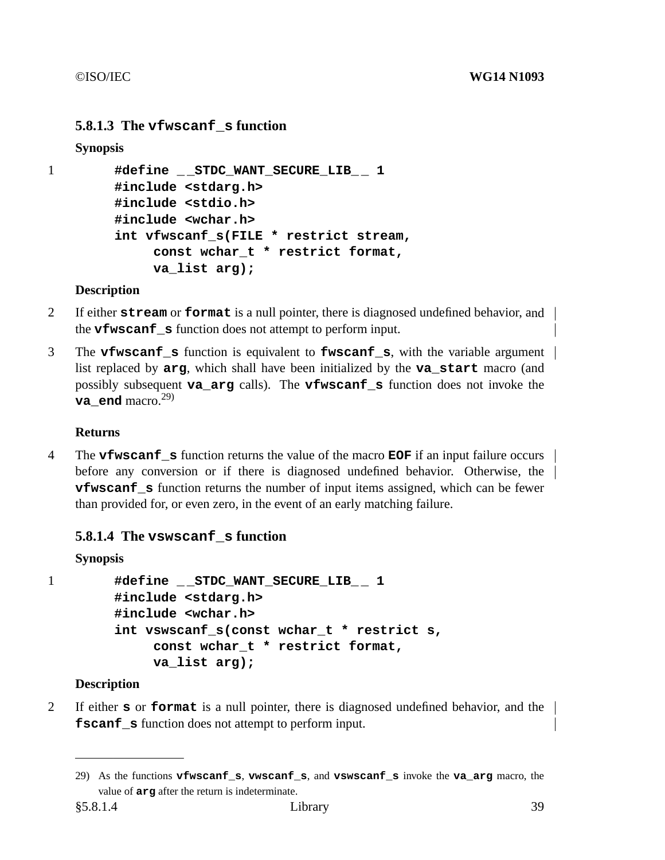# **5.8.1.3 The vfwscanf\_s function**

# **Synopsis**

```
1 #define _ _STDC_WANT_SECURE_LIB_ _ 1
        #include <stdarg.h>
        #include <stdio.h>
        #include <wchar.h>
        int vfwscanf_s(FILE * restrict stream,
             const wchar_t * restrict format,
             va_list arg);
```
# **Description**

- 2 If either **stream** or **format** is a null pointer, there is diagnosed undefined behavior, and the **vfwscanf** s function does not attempt to perform input.
- 3 The **vfwscanf\_s** function is equivalent to **fwscanf\_s**, with the variable argument list replaced by **arg**, which shall have been initialized by the **va\_start** macro (and possibly subsequent **va\_arg** calls). The **vfwscanf\_s** function does not invoke the  **end macro.<sup>29)</sup>**

# **Returns**

4 The **vfwscanf\_s** function returns the value of the macro **EOF** if an input failure occurs before any conversion or if there is diagnosed undefined behavior. Otherwise, the **vfwscanf** s function returns the number of input items assigned, which can be fewer than provided for, or even zero, in the event of an early matching failure.

# **5.8.1.4 The vswscanf\_s function**

# **Synopsis**

```
1 #define _ _STDC_WANT_SECURE_LIB_ _ 1
        #include <stdarg.h>
        #include <wchar.h>
        int vswscanf_s(const wchar_t * restrict s,
             const wchar_t * restrict format,
             va_list arg);
```
# **Description**

2 If either **s** or **format** is a null pointer, there is diagnosed undefined behavior, and the **fscanf** s function does not attempt to perform input.

<sup>29)</sup> As the functions **vfwscanf\_s**, **vwscanf\_s**, and **vswscanf\_s** invoke the **va\_arg** macro, the value of **arg** after the return is indeterminate.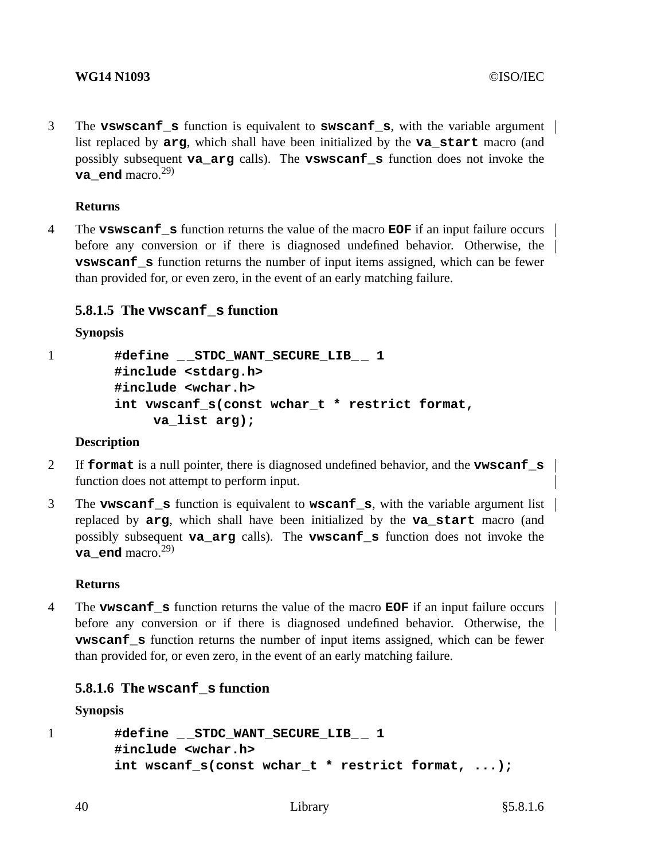3 The **vswscanf\_s** function is equivalent to **swscanf\_s**, with the variable argument list replaced by **arg**, which shall have been initialized by the **va\_start** macro (and possibly subsequent **va\_arg** calls). The **vswscanf\_s** function does not invoke the **va** end macro.<sup>29)</sup>

## **Returns**

4 The **vswscanf\_s** function returns the value of the macro **EOF** if an input failure occurs before any conversion or if there is diagnosed undefined behavior. Otherwise, the **vswscanf\_s** function returns the number of input items assigned, which can be fewer than provided for, or even zero, in the event of an early matching failure.

# **5.8.1.5 The vwscanf\_s function**

## **Synopsis**

```
1 #define _ _STDC_WANT_SECURE_LIB_ _ 1
        #include <stdarg.h>
        #include <wchar.h>
        int vwscanf_s(const wchar_t * restrict format,
             va_list arg);
```
## **Description**

- 2 If **format** is a null pointer, there is diagnosed undefined behavior, and the **vwscanf\_s** function does not attempt to perform input.
- 3 The **vwscanf\_s** function is equivalent to **wscanf\_s**, with the variable argument list replaced by **arg**, which shall have been initialized by the **va\_start** macro (and possibly subsequent **va\_arg** calls). The **vwscanf\_s** function does not invoke the **va\_end** macro.<sup>29)</sup>

## **Returns**

4 The **vwscanf\_s** function returns the value of the macro **EOF** if an input failure occurs before any conversion or if there is diagnosed undefined behavior. Otherwise, the **vwscanf** s function returns the number of input items assigned, which can be fewer than provided for, or even zero, in the event of an early matching failure.

# **5.8.1.6 The wscanf\_s function**

**Synopsis**

```
1 #define _ _STDC_WANT_SECURE_LIB_ _ 1
        #include <wchar.h>
        int wscanf_s(const wchar_t * restrict format, ...);
```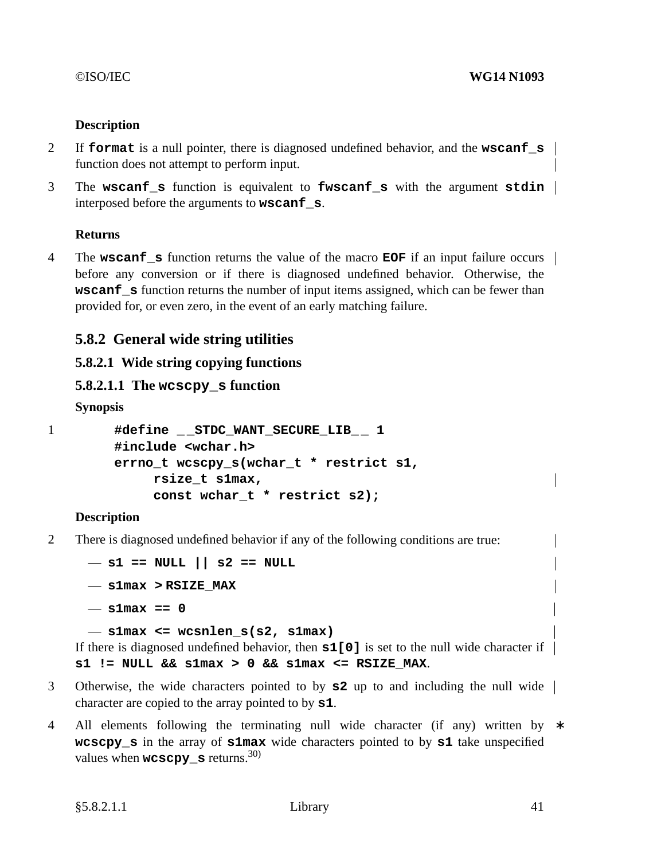# **Description**

- 2 If **format** is a null pointer, there is diagnosed undefined behavior, and the **wscanf\_s** function does not attempt to perform input.
- 3 The **wscanf\_s** function is equivalent to **fwscanf\_s** with the argument **stdin** interposed before the arguments to **wscanf\_s**.

# **Returns**

4 The **wscanf\_s** function returns the value of the macro **EOF** if an input failure occurs before any conversion or if there is diagnosed undefined behavior. Otherwise, the **wscanf** s function returns the number of input items assigned, which can be fewer than provided for, or even zero, in the event of an early matching failure.

# **5.8.2 General wide string utilities**

# **5.8.2.1 Wide string copying functions**

```
5.8.2.1.1 The wcscpy_s function
```
**Synopsis**

1 **#define \_ \_STDC\_WANT\_SECURE\_LIB\_ \_ 1 #include <wchar.h> errno\_t wcscpy\_s(wchar\_t \* restrict s1, rsize\_t s1max, const wchar\_t \* restrict s2);**

# **Description**

2 There is diagnosed undefined behavior if any of the following conditions are true:

```
— s1 == NULL || s2 == NULL
— s1max > RSIZE_MAX
- s1max = 0— s1max <= wcsnlen_s(s2, s1max)
```
If there is diagnosed undefined behavior, then **s1[0]** is set to the null wide character if  $s1$  != NULL &&  $s1$ max > 0 &&  $s1$ max <=  $RSIZE$  MAX.

- 3 Otherwise, the wide characters pointed to by **s2** up to and including the null wide character are copied to the array pointed to by **s1**.
- 4 All elements following the terminating null wide character (if any) written by  $*$ **wcscpy\_s** in the array of **s1max** wide characters pointed to by **s1** take unspecified values when  $wcscpy$  s returns.<sup>30)</sup>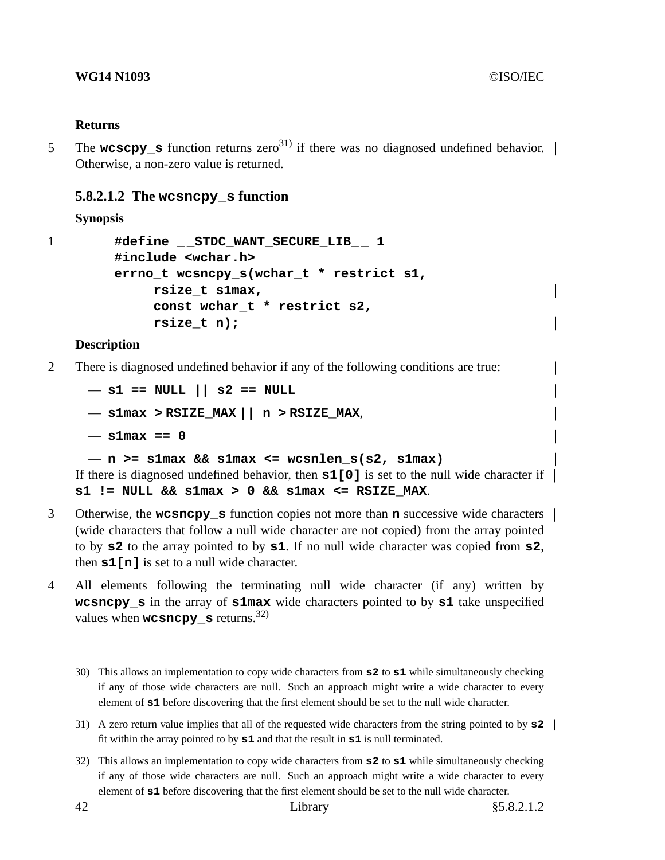## **Returns**

5 The **wcscpy\_s** function returns zero<sup>31)</sup> if there was no diagnosed undefined behavior. Otherwise, a non-zero value is returned.

## **5.8.2.1.2 The wcsncpy\_s function**

## **Synopsis**

```
1 #define _ _STDC_WANT_SECURE_LIB_ _ 1
        #include <wchar.h>
        errno_t wcsncpy_s(wchar_t * restrict s1,
             rsize_t s1max,
             const wchar_t * restrict s2,
             rsize_t n);
```
## **Description**

2 There is diagnosed undefined behavior if any of the following conditions are true:

```
— s1 == NULL || s2 == NULL
— s1max > RSIZE_MAX || n > RSIZE_MAX,
— s1max == 0
— n >= s1max && s1max <= wcsnlen_s(s2, s1max)
```
If there is diagnosed undefined behavior, then **s1[0]** is set to the null wide character if  $s1$  != NULL &&  $s1$ max > 0 &&  $s1$ max <=  $RSTZE$  MAX.

- 3 Otherwise, the **wcsncpy\_s** function copies not more than **n** successive wide characters (wide characters that followa null wide character are not copied) from the array pointed to by **s2** to the array pointed to by **s1**. If no null wide character was copied from **s2**, then **s1[n]** is set to a null wide character.
- 4 All elements following the terminating null wide character (if any) written by **wcsncpy\_s** in the array of **s1max** wide characters pointed to by **s1** take unspecified values when **wcsncpy** s returns.<sup>32)</sup>

<sup>30)</sup> This allows an implementation to copy wide characters from **s2** to **s1** while simultaneously checking if any of those wide characters are null. Such an approach might write a wide character to every element of **s1** before discovering that the first element should be set to the null wide character.

<sup>31)</sup> A zero return value implies that all of the requested wide characters from the string pointed to by **s2** fit within the array pointed to by **s1** and that the result in **s1** is null terminated.

<sup>32)</sup> This allows an implementation to copy wide characters from **s2** to **s1** while simultaneously checking if any of those wide characters are null. Such an approach might write a wide character to every element of **s1** before discovering that the first element should be set to the null wide character.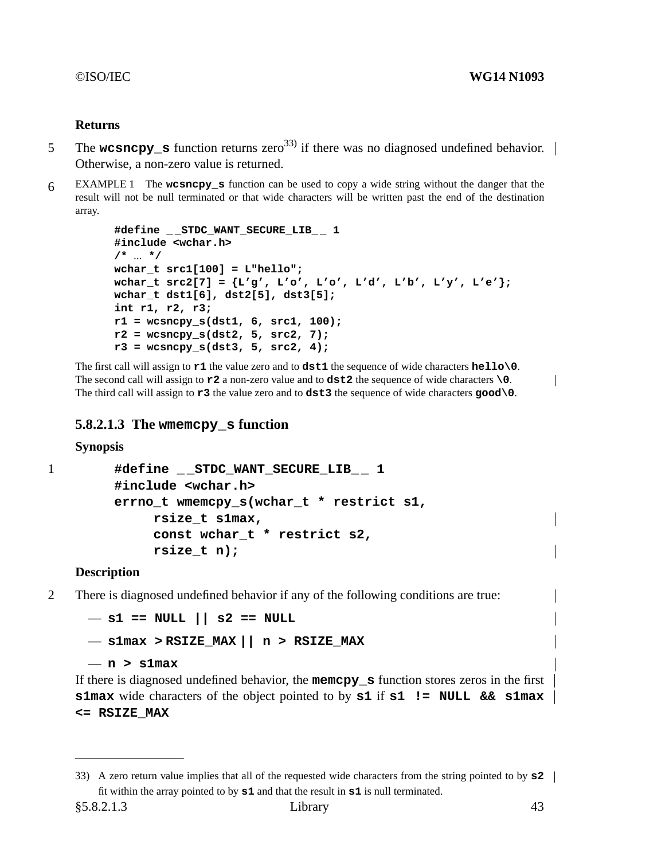## **Returns**

- 5 The **wcsncpy\_s** function returns zero<sup>33)</sup> if there was no diagnosed undefined behavior. Otherwise, a non-zero value is returned.
- 6 EXAMPLE 1 The **wcsncpy\_s** function can be used to copyawide string without the danger that the result will not be null terminated or that wide characters will be written past the end of the destination array.

```
#define _ _STDC_WANT_SECURE_LIB_ _ 1
#include <wchar.h>
/* ... */
wchar_t src1[100] = L"hello";
wchar_t src2[7] = {L'g', L'o', L'o', L'd', L'b', L'y', L'e'};
wchar_t dst1[6], dst2[5], dst3[5];
int r1, r2, r3;
r1 = wcsncpy_s(dst1, 6, src1, 100);
r2 = wcsncpy_s(dst2, 5, src2, 7);
r3 = wcsncpy_s(dst3, 5, src2, 4);
```
The first call will assign to **r1** the value zero and to **dst1** the sequence of wide characters **hello\0**. The second call will assign to **r2** a non-zero value and to **dst2** the sequence of wide characters **\0**. The third call will assign to **r3** the value zero and to **dst3** the sequence of wide characters **good\0**.

## **5.8.2.1.3 The wmemcpy\_s function**

**Synopsis**

```
1 #define _ _STDC_WANT_SECURE_LIB_ _ 1
        #include <wchar.h>
        errno_t wmemcpy_s(wchar_t * restrict s1,
             rsize_t s1max,
             const wchar_t * restrict s2,
             rsize_t n);
```
## **Description**

2 There is diagnosed undefined behavior if any of the following conditions are true:

— **s1 == NULL || s2 == NULL** — **s1max > RSIZE\_MAX || n>RSIZE\_MAX**

— **n>s1max**

If there is diagnosed undefined behavior, the **memcpy\_s** function stores zeros in the first **s1max** wide characters of the object pointed to by **s1** if **s1 != NULL && s1max <= RSIZE\_MAX**

 $\overline{\phantom{a}}$ 

<sup>33)</sup> A zero return value implies that all of the requested wide characters from the string pointed to by **s2** fit within the array pointed to by **s1** and that the result in **s1** is null terminated.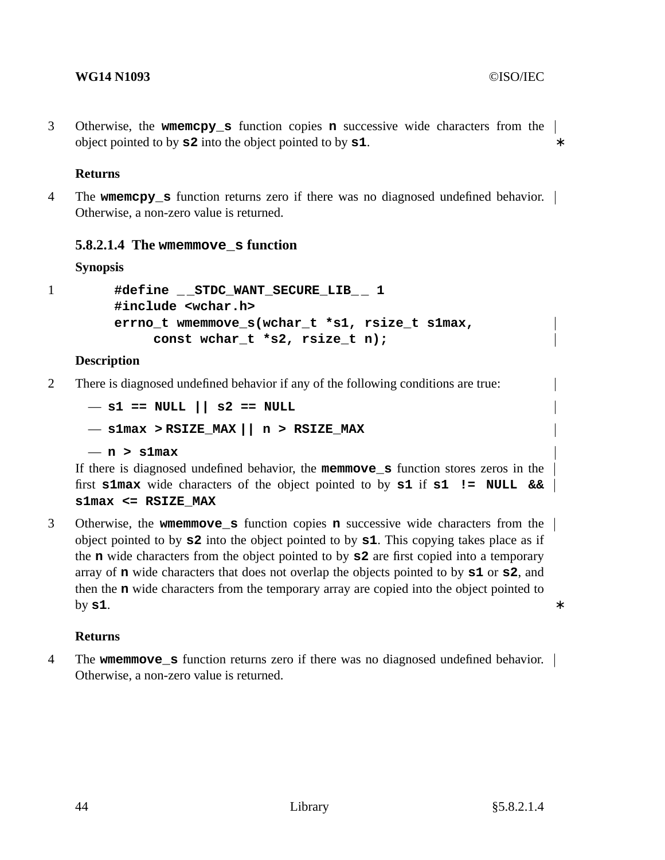3 Otherwise, the **wmemcpy\_s** function copies **n** successive wide characters from the object pointed to by **s2** into the object pointed to by **s1**. ∗

## **Returns**

4 The **wmemcpy\_s** function returns zero if there was no diagnosed undefined behavior. Otherwise, a non-zero value is returned.

# **5.8.2.1.4 The wmemmove\_s function**

**Synopsis**

1 **#define \_ \_STDC\_WANT\_SECURE\_LIB\_ \_ 1 #include <wchar.h> errno\_t wmemmove\_s(wchar\_t \*s1, rsize\_t s1max, const wchar\_t \*s2, rsize\_t n);**

## **Description**

2 There is diagnosed undefined behavior if any of the following conditions are true:

```
— s1 == NULL || s2 == NULL
— s1max > RSIZE_MAX || n>RSIZE_MAX
— n>s1max
```
If there is diagnosed undefined behavior, the **memmove\_s** function stores zeros in the first **s1max** wide characters of the object pointed to by **s1** if **s1 != NULL && s1max <= RSIZE\_MAX**

3 Otherwise, the **wmemmove\_s** function copies **n** successive wide characters from the object pointed to by **s2** into the object pointed to by **s1**. This copying takes place as if the **n** wide characters from the object pointed to by **s2** are first copied into a temporary array of **n** wide characters that does not overlap the objects pointed to by **s1** or **s2**, and then the **n** wide characters from the temporary array are copied into the object pointed to **by s1.** ∗

## **Returns**

4 The **wmemmove\_s** function returns zero if there was no diagnosed undefined behavior. Otherwise, a non-zero value is returned.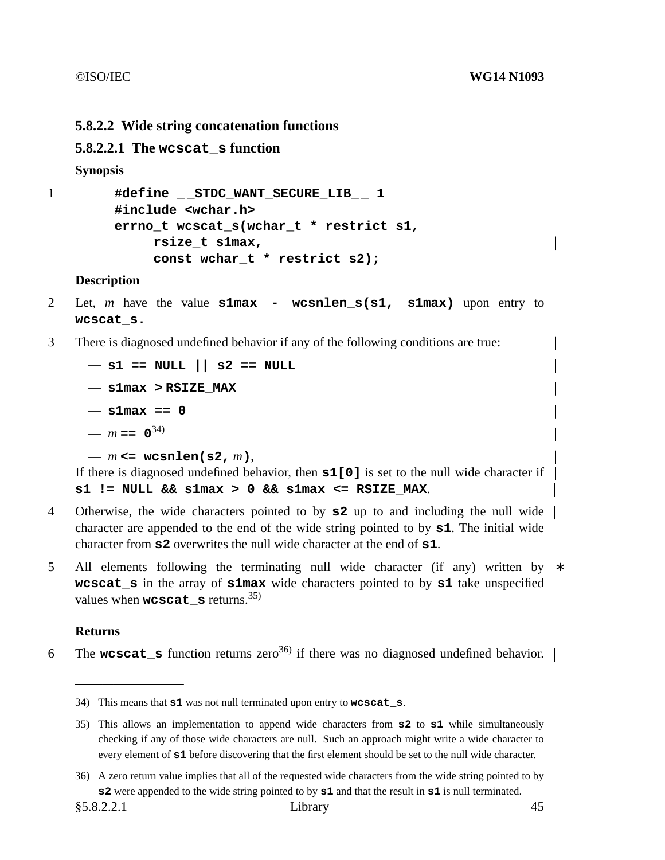## **5.8.2.2 Wide string concatenation functions**

## **5.8.2.2.1 The wcscat\_s function**

### **Synopsis**

```
1 #define _ _STDC_WANT_SECURE_LIB_ _ 1
        #include <wchar.h>
        errno_t wcscat_s(wchar_t * restrict s1,
             rsize_t s1max,
             const wchar_t * restrict s2);
```
### **Description**

- 2 Let, *m* have the value **s1max wcsnlen\_s(s1, s1max)** upon entry to **wcscat\_s.**
- 3 There is diagnosed undefined behavior if any of the following conditions are true:

```
— s1 == NULL || s2 == NULL
— s1max > RSIZE_MAX
— s1max == 0
- m = 0^{34}— m <= wcsnlen(s2, m),
```
If there is diagnosed undefined behavior, then **s1[0]** is set to the null wide character if **s1 != NULL && s1max > 0 && s1max <= RSIZE\_MAX**.

- 4 Otherwise, the wide characters pointed to by **s2** up to and including the null wide character are appended to the end of the wide string pointed to by **s1**. The initial wide character from **s2** overwrites the null wide character at the end of **s1**.
- 5 All elements following the terminating null wide character (if any) written by ∗ **wcscat\_s** in the array of **s1max** wide characters pointed to by **s1** take unspecified values when **wcscat** s returns.<sup>35)</sup>

### **Returns**

6 The **wcscat\_s** function returns zero<sup>36)</sup> if there was no diagnosed undefined behavior.  $\vert$ 

<sup>34)</sup> This means that **s1** was not null terminated upon entry to **wcscat\_s**.

<sup>35)</sup> This allows an implementation to append wide characters from **s2** to **s1** while simultaneously checking if any of those wide characters are null. Such an approach might write a wide character to every element of **s1** before discovering that the first element should be set to the null wide character.

<sup>36)</sup> A zero return value implies that all of the requested wide characters from the wide string pointed to by **s2** were appended to the wide string pointed to by **s1** and that the result in **s1** is null terminated.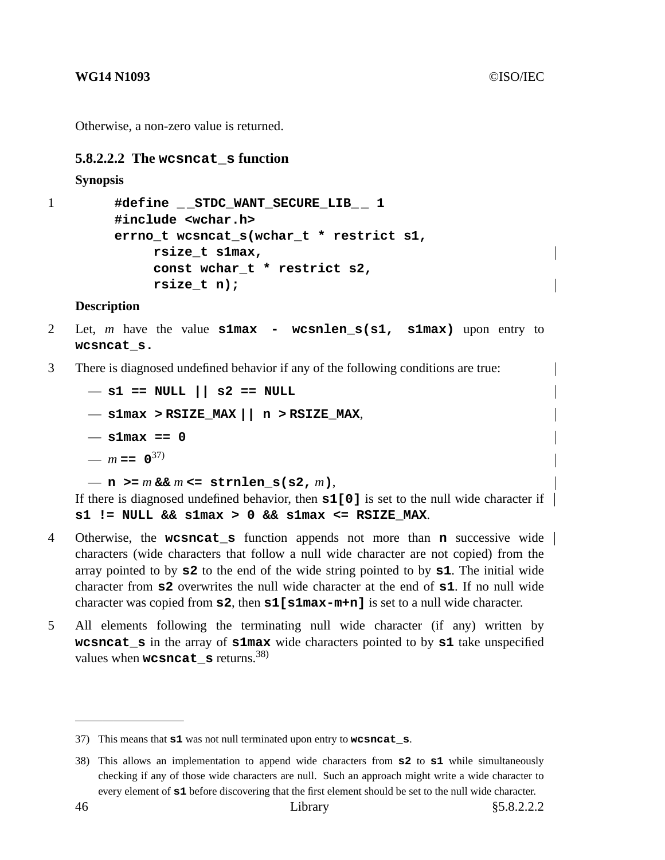Otherwise, a non-zero value is returned.

## **5.8.2.2.2 The wcsncat\_s function**

```
Synopsis
```

```
1 #define _ _STDC_WANT_SECURE_LIB_ _ 1
        #include <wchar.h>
        errno_t wcsncat_s(wchar_t * restrict s1,
             rsize_t s1max,
             const wchar_t * restrict s2,
             rsize_t n);
```
## **Description**

- 2 Let, *m* have the value **s1max wcsnlen\_s(s1, s1max)** upon entry to **wcsncat\_s.**
- 3 There is diagnosed undefined behavior if any of the following conditions are true:

— **s1 == NULL || s2 == NULL** — **s1max > RSIZE\_MAX || n > RSIZE\_MAX**, — **s1max == 0**  $- m = 0^{37}$  $-$  **n**  $> = m$  &&  $m$  <= strnlen\_s(s2,  $m$ ),

If there is diagnosed undefined behavior, then **s1[0]** is set to the null wide character if **s1 != NULL && s1max > 0 && s1max <= RSIZE\_MAX**.

- 4 Otherwise, the **wcsncat\_s** function appends not more than **n** successive wide characters (wide characters that follow a null wide character are not copied) from the array pointed to by **s2** to the end of the wide string pointed to by **s1**. The initial wide character from **s2** overwrites the null wide character at the end of **s1**. If no null wide character was copied from **s2**, then **s1[s1max-m+n]** is set to a null wide character.
- 5 All elements following the terminating null wide character (if any) written by **wcsncat\_s** in the array of **s1max** wide characters pointed to by **s1** take unspecified values when **wcsncat s** returns.<sup>38)</sup>

<sup>37)</sup> This means that **s1** was not null terminated upon entry to **wcsncat\_s**.

<sup>38)</sup> This allows an implementation to append wide characters from **s2** to **s1** while simultaneously checking if any of those wide characters are null. Such an approach might write a wide character to every element of **s1** before discovering that the first element should be set to the null wide character.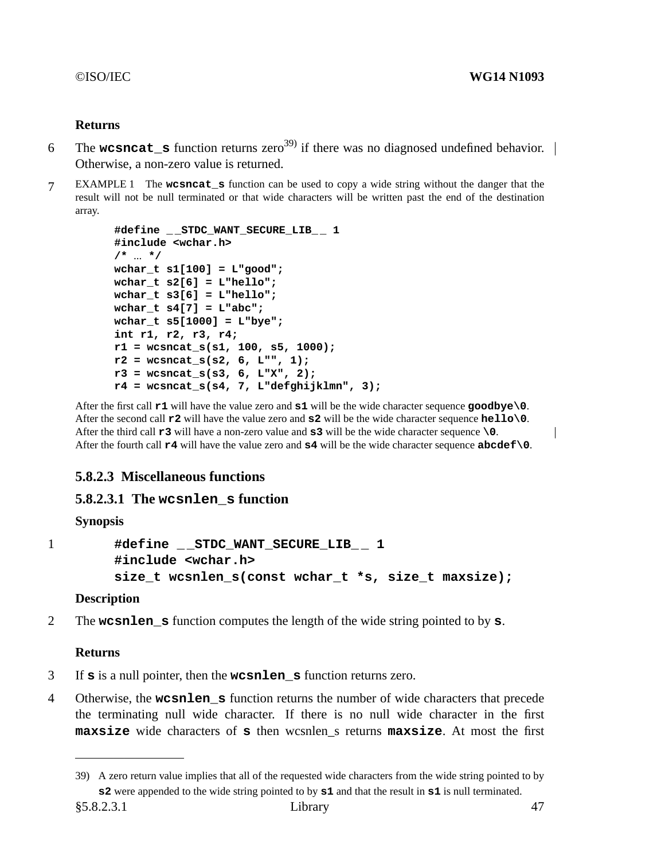# **Returns**

- 6 The **wcsncat\_s** function returns zero<sup>39)</sup> if there was no diagnosed undefined behavior. Otherwise, a non-zero value is returned.
- 7 EXAMPLE 1 The **wcsncat\_s** function can be used to copyawide string without the danger that the result will not be null terminated or that wide characters will be written past the end of the destination array.

```
#define _ _STDC_WANT_SECURE_LIB_ _ 1
#include <wchar.h>
/* ... */
wchar_t s1[100] = L"good";
wchar_t s2[6] = L"hello";
wchar_t s3[6] = L"hello";
wchar_t s4[7] = L"abc";
wchar_t s5[1000] = L"bye";
int r1, r2, r3, r4;
r1 = wcsncat_s(s1, 100, s5, 1000);
r2 = wcsncat_s(s2, 6, L"", 1);
r3 = wcsncat_s(s3, 6, L"X", 2);
r4 = wcsncat_s(s4, 7, L"defghijklmn", 3);
```
After the first call **r1** will have the value zero and **s1** will be the wide character sequence **goodbye\0**. After the second call **r2** will have the value zero and **s2** will be the wide character sequence **hello\0**. After the third call **r3** will have a non-zero value and **s3** will be the wide character sequence **\0**. After the fourth call **r4** will have the value zero and **s4** will be the wide character sequence **abcdef\0**.

# **5.8.2.3 Miscellaneous functions**

# **5.8.2.3.1 The wcsnlen\_s function**

# **Synopsis**

```
1 #define _ _STDC_WANT_SECURE_LIB_ _ 1
        #include <wchar.h>
        size_t wcsnlen_s(const wchar_t *s, size_t maxsize);
```
# **Description**

2 The **wcsnlen\_s** function computes the length of the wide string pointed to by **s**.

# **Returns**

- 3 If **s** is a null pointer, then the **wcsnlen\_s** function returns zero.
- 4 Otherwise, the **wcsnlen\_s** function returns the number of wide characters that precede the terminating null wide character. If there is no null wide character in the first **maxsize** wide characters of **s** then wcsnlen\_s returns **maxsize**. At most the first

 $\overline{1}$ 

<sup>39)</sup> A zero return value implies that all of the requested wide characters from the wide string pointed to by **s2** were appended to the wide string pointed to by **s1** and that the result in **s1** is null terminated.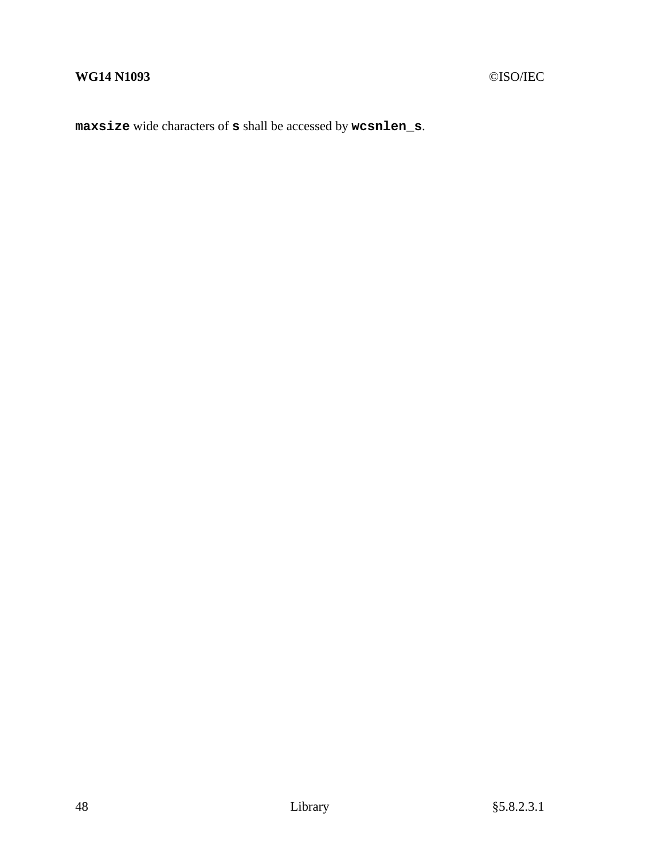**maxsize** wide characters of **s** shall be accessed by **wcsnlen\_s**.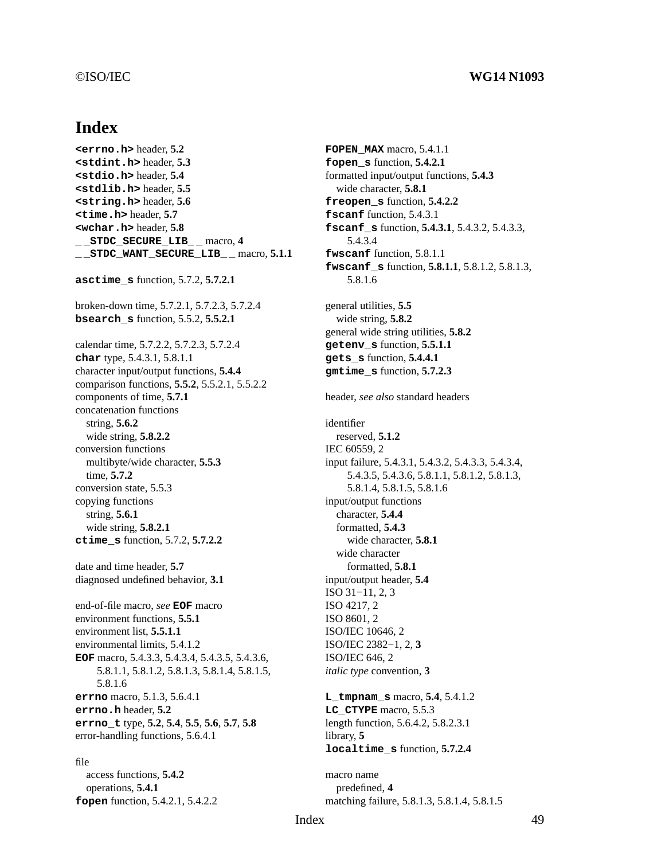### ©ISO/IEC **WG14 N1093**

# **Index**

**<errno.h>** header, **5.2 <stdint.h>** header, **5.3 <stdio.h>** header, **5.4 <stdlib.h>** header, **5.5 <string.h>** header, **5.6 <time.h>** header, **5.7 <wchar.h>** header, **5.8 \_ \_STDC\_SECURE\_LIB\_ \_** macro, **4 \_ \_STDC\_WANT\_SECURE\_LIB\_ \_** macro, **5.1.1 asctime\_s** function, 5.7.2, **5.7.2.1** broken-down time, 5.7.2.1, 5.7.2.3, 5.7.2.4 **bsearch\_s** function, 5.5.2, **5.5.2.1** calendar time, 5.7.2.2, 5.7.2.3, 5.7.2.4 **char** type, 5.4.3.1, 5.8.1.1 character input/output functions, **5.4.4** comparison functions, **5.5.2**, 5.5.2.1, 5.5.2.2 components of time, **5.7.1** concatenation functions string, **5.6.2** wide string, **5.8.2.2** conversion functions multibyte/wide character, **5.5.3** time, **5.7.2** conversion state, 5.5.3 copying functions string, **5.6.1** wide string, **5.8.2.1 ctime\_s** function, 5.7.2, **5.7.2.2** date and time header, **5.7** diagnosed undefined behavior, **3.1** end-of-file macro, *see* **EOF** macro environment functions, **5.5.1** environment list, **5.5.1.1** environmental limits, 5.4.1.2 **EOF** macro, 5.4.3.3, 5.4.3.4, 5.4.3.5, 5.4.3.6, 5.8.1.1, 5.8.1.2, 5.8.1.3, 5.8.1.4, 5.8.1.5, 5.8.1.6 **errno** macro, 5.1.3, 5.6.4.1 **errno.h** header, **5.2 errno\_t** type, **5.2**, **5.4**, **5.5**, **5.6**, **5.7**, **5.8** error-handling functions, 5.6.4.1 file

access functions, **5.4.2** operations, **5.4.1 fopen** function, 5.4.2.1, 5.4.2.2 **FOPEN MAX** macro, 5.4.1.1 **fopen\_s** function, **5.4.2.1** formatted input/output functions, **5.4.3** wide character, **5.8.1 freopen\_s** function, **5.4.2.2 fscanf** function, 5.4.3.1 **fscanf\_s** function, **5.4.3.1**, 5.4.3.2, 5.4.3.3, 5.4.3.4 **fwscanf** function, 5.8.1.1 **fwscanf\_s** function, **5.8.1.1**, 5.8.1.2, 5.8.1.3, 5.8.1.6 general utilities, **5.5** wide string, **5.8.2** general wide string utilities, **5.8.2 getenv\_s** function, **5.5.1.1 gets\_s** function, **5.4.4.1 gmtime\_s** function, **5.7.2.3** header, *see also* standard headers identifier reserved, **5.1.2** IEC 60559, 2 input failure, 5.4.3.1, 5.4.3.2, 5.4.3.3, 5.4.3.4, 5.4.3.5, 5.4.3.6, 5.8.1.1, 5.8.1.2, 5.8.1.3, 5.8.1.4, 5.8.1.5, 5.8.1.6 input/output functions character, **5.4.4** formatted, **5.4.3** wide character, **5.8.1** wide character formatted, **5.8.1** input/output header, **5.4** ISO 31−11, 2, 3 ISO 4217, 2 ISO 8601, 2 ISO/IEC 10646, 2 ISO/IEC 2382−1, 2, **3** ISO/IEC 646, 2 *italic type* convention, **3 L\_tmpnam\_s** macro, **5.4**, 5.4.1.2 **LC\_CTYPE** macro, 5.5.3 length function, 5.6.4.2, 5.8.2.3.1 library, **5 localtime\_s** function, **5.7.2.4**

macro name predefined, **4** matching failure, 5.8.1.3, 5.8.1.4, 5.8.1.5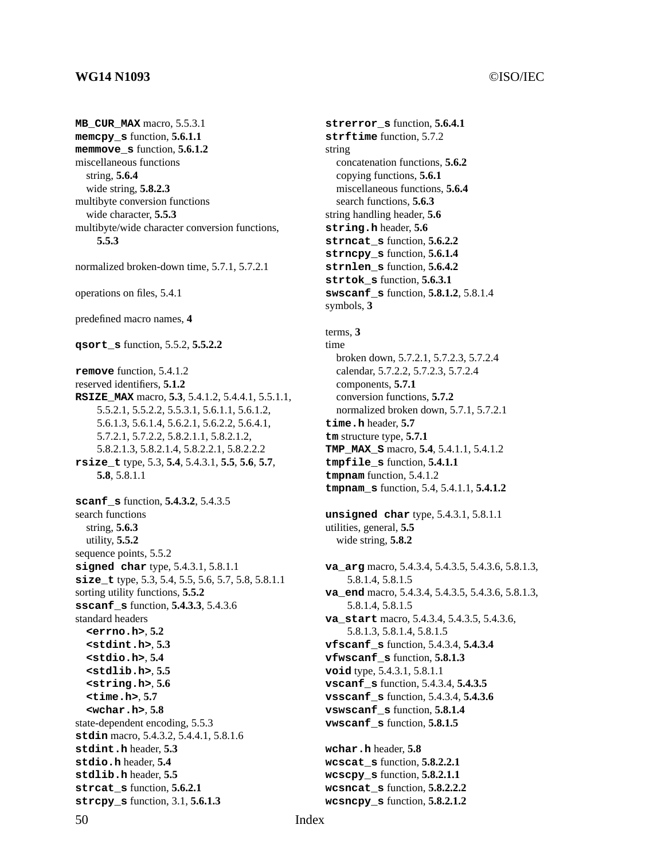### **WG14 N1093** ©ISO/IEC

# **MB\_CUR\_MAX** macro, 5.5.3.1 **memcpy\_s** function, **5.6.1.1 memmove\_s** function, **5.6.1.2** miscellaneous functions string, **5.6.4** wide string, **5.8.2.3** multibyte conversion functions wide character, **5.5.3** multibyte/wide character conversion functions, **5.5.3** normalized broken-down time, 5.7.1, 5.7.2.1 operations on files, 5.4.1 predefined macro names, **4 qsort\_s** function, 5.5.2, **5.5.2.2 remove** function, 5.4.1.2 reserved identifiers, **5.1.2 RSIZE\_MAX** macro, **5.3**, 5.4.1.2, 5.4.4.1, 5.5.1.1, 5.5.2.1, 5.5.2.2, 5.5.3.1, 5.6.1.1, 5.6.1.2, 5.6.1.3, 5.6.1.4, 5.6.2.1, 5.6.2.2, 5.6.4.1, 5.7.2.1, 5.7.2.2, 5.8.2.1.1, 5.8.2.1.2, 5.8.2.1.3, 5.8.2.1.4, 5.8.2.2.1, 5.8.2.2.2 **rsize\_t** type, 5.3, **5.4**, 5.4.3.1, **5.5**, **5.6**, **5.7**, **5.8**, 5.8.1.1 **scanf\_s** function, **5.4.3.2**, 5.4.3.5 search functions string, **5.6.3** utility, **5.5.2** sequence points, 5.5.2 **size\_t** type, 5.3, 5.4, 5.5, 5.6, 5.7, 5.8, 5.8.1.1

**signed char** type, 5.4.3.1, 5.8.1.1 sorting utility functions, **5.5.2 sscanf\_s** function, **5.4.3.3**, 5.4.3.6 standard headers **<errno.h>**, **5.2 <stdint.h>**, **5.3 <stdio.h>**, **5.4 <stdlib.h>**, **5.5 <string.h>**, **5.6 <time.h>**, **5.7 <wchar.h>**, **5.8** state-dependent encoding, 5.5.3 **stdin** macro, 5.4.3.2, 5.4.4.1, 5.8.1.6 **stdint.h** header, **5.3 stdio.h** header, **5.4 stdlib.h** header, **5.5 strcat\_s** function, **5.6.2.1**

**strcpy\_s** function, 3.1, **5.6.1.3**

# 50 Index

### **strerror\_s** function, **5.6.4.1 strftime** function, 5.7.2 string concatenation functions, **5.6.2** copying functions, **5.6.1** miscellaneous functions, **5.6.4** search functions, **5.6.3** string handling header, **5.6 string.h** header, **5.6 strncat\_s** function, **5.6.2.2 strncpy\_s** function, **5.6.1.4 strnlen\_s** function, **5.6.4.2 strtok\_s** function, **5.6.3.1 swscanf\_s** function, **5.8.1.2**, 5.8.1.4 symbols, **3**

### terms, **3** time broken down, 5.7.2.1, 5.7.2.3, 5.7.2.4 calendar, 5.7.2.2, 5.7.2.3, 5.7.2.4 components, **5.7.1** conversion functions, **5.7.2** normalized broken down, 5.7.1, 5.7.2.1 **time.h** header, **5.7 tm** structure type, **5.7.1 TMP\_MAX\_S** macro, **5.4**, 5.4.1.1, 5.4.1.2 **tmpfile\_s** function, **5.4.1.1 tmpnam** function, 5.4.1.2 **tmpnam\_s** function, 5.4, 5.4.1.1, **5.4.1.2**

**unsigned char** type, 5.4.3.1, 5.8.1.1 utilities, general, **5.5** wide string, **5.8.2**

**va\_arg** macro, 5.4.3.4, 5.4.3.5, 5.4.3.6, 5.8.1.3, 5.8.1.4, 5.8.1.5 **va\_end** macro, 5.4.3.4, 5.4.3.5, 5.4.3.6, 5.8.1.3, 5.8.1.4, 5.8.1.5 **va\_start** macro, 5.4.3.4, 5.4.3.5, 5.4.3.6, 5.8.1.3, 5.8.1.4, 5.8.1.5 **vfscanf\_s** function, 5.4.3.4, **5.4.3.4 vfwscanf\_s** function, **5.8.1.3 void** type, 5.4.3.1, 5.8.1.1 **vscanf\_s** function, 5.4.3.4, **5.4.3.5 vsscanf\_s** function, 5.4.3.4, **5.4.3.6 vswscanf\_s** function, **5.8.1.4 vwscanf\_s** function, **5.8.1.5 wchar.h** header, **5.8 wcscat\_s** function, **5.8.2.2.1 wcscpy\_s** function, **5.8.2.1.1 wcsncat\_s** function, **5.8.2.2.2 wcsncpy\_s** function, **5.8.2.1.2**